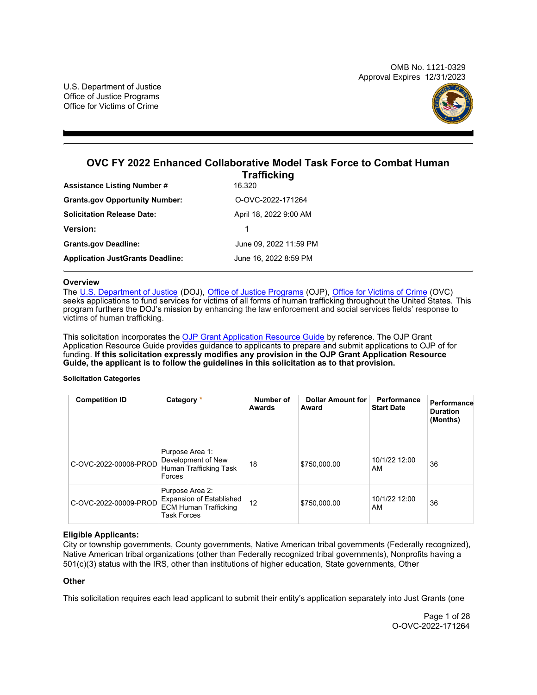OMB No. 1121-0329 Approval Expires 12/31/2023

U.S. Department of Justice Office of Justice Programs Office for Victims of Crime



## **OVC FY 2022 Enhanced Collaborative Model Task Force to Combat Human Trafficking**

| <b>Assistance Listing Number #</b>      | 11 <b>aBC</b> NDIY<br>16.320 |
|-----------------------------------------|------------------------------|
| <b>Grants.gov Opportunity Number:</b>   | O-OVC-2022-171264            |
| <b>Solicitation Release Date:</b>       | April 18, 2022 9:00 AM       |
| <b>Version:</b>                         | 1                            |
| <b>Grants.gov Deadline:</b>             | June 09, 2022 11:59 PM       |
| <b>Application JustGrants Deadline:</b> | June 16, 2022 8:59 PM        |

## **Overview**

The [U.S. Department of Justice](https://www.usdoj.gov/) (DOJ), [Office of Justice Programs](https://www.ojp.gov/) (OJP), [Office for Victims of Crime](https://ovc.ojp.gov/) (OVC) seeks applications to fund services for victims of all forms of human trafficking throughout the United States. This program furthers the DOJ's mission by enhancing the law enforcement and social services fields' response to victims of human trafficking.

This solicitation incorporates the [OJP Grant Application Resource Guide](https://www.ojp.gov/funding/Apply/Resources/Grant-App-Resource-Guide.htm) by reference. The OJP Grant Application Resource Guide provides guidance to applicants to prepare and submit applications to OJP of for funding. **If this solicitation expressly modifies any provision in the OJP Grant Application Resource Guide, the applicant is to follow the guidelines in this solicitation as to that provision.** 

## **Solicitation Categories**

| <b>Competition ID</b> | Category *                                                                                        | Number of<br>Awards | <b>Dollar Amount for</b><br>Award | Performance<br><b>Start Date</b> | Performance<br><b>Duration</b><br>(Months) |
|-----------------------|---------------------------------------------------------------------------------------------------|---------------------|-----------------------------------|----------------------------------|--------------------------------------------|
| C-OVC-2022-00008-PROD | Purpose Area 1:<br>Development of New<br>Human Trafficking Task<br>Forces                         | 18                  | \$750,000.00                      | 10/1/22 12:00<br>AM              | 36                                         |
| C-OVC-2022-00009-PROD | Purpose Area 2:<br><b>Expansion of Established</b><br><b>ECM Human Trafficking</b><br>Task Forces | 12                  | \$750,000.00                      | 10/1/22 12:00<br>AM              | 36                                         |

# **Eligible Applicants:**

City or township governments, County governments, Native American tribal governments (Federally recognized), Native American tribal organizations (other than Federally recognized tribal governments), Nonprofits having a 501(c)(3) status with the IRS, other than institutions of higher education, State governments, Other

# **Other**

This solicitation requires each lead applicant to submit their entity's application separately into Just Grants (one

Page 1 of 28 O-OVC-2022-171264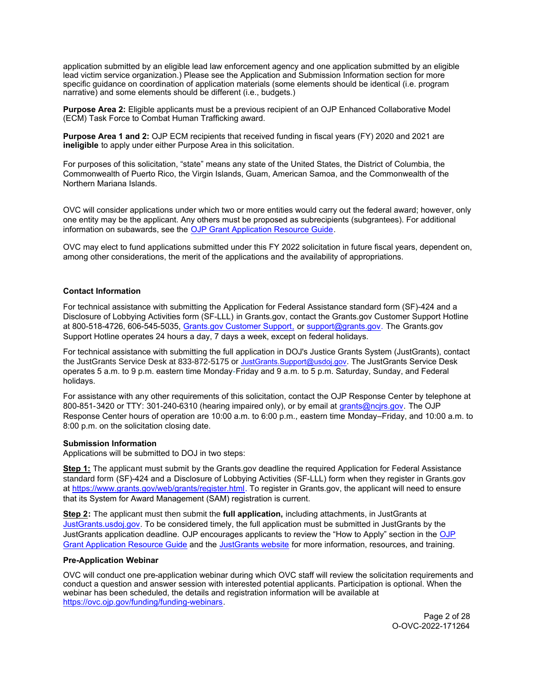<span id="page-1-0"></span>application submitted by an eligible lead law enforcement agency and one application submitted by an eligible lead victim service organization.) Please see the Application and Submission Information section for more specific guidance on coordination of application materials (some elements should be identical (i.e. program narrative) and some elements should be different (i.e., budgets.)

**Purpose Area 2:** Eligible applicants must be a previous recipient of an OJP Enhanced Collaborative Model (ECM) Task Force to Combat Human Trafficking award.

**Purpose Area 1 and 2:** OJP ECM recipients that received funding in fiscal years (FY) 2020 and 2021 are **ineligible** to apply under either Purpose Area in this solicitation.

For purposes of this solicitation, "state" means any state of the United States, the District of Columbia, the Commonwealth of Puerto Rico, the Virgin Islands, Guam, American Samoa, and the Commonwealth of the Northern Mariana Islands.

OVC will consider applications under which two or more entities would carry out the federal award; however, only one entity may be the applicant. Any others must be proposed as subrecipients (subgrantees). For additional information on subawards, see the [OJP Grant Application Resource Guide.](https://www.ojp.gov/funding/Apply/Resources/Grant-App-Resource-Guide.htm)

OVC may elect to fund applications submitted under this FY 2022 solicitation in future fiscal years, dependent on, among other considerations, the merit of the applications and the availability of appropriations.

# **Contact Information**

For technical assistance with submitting the Application for Federal Assistance standard form (SF)-424 and a Disclosure of Lobbying Activities form (SF-LLL) in [Grants.gov](https://Grants.gov), contact the [Grants.gov](https://Grants.gov) Customer Support Hotline at 800-518-4726, 606-545-5035, [Grants.gov Customer Support,](https://www.grants.gov/web/grants/support.html) or [support@grants.gov.](mailto:support@grants.gov) The [Grants.gov](https://Grants.gov) Support Hotline operates 24 hours a day, 7 days a week, except on federal holidays.

For technical assistance with submitting the full application in DOJ's Justice Grants System (JustGrants), contact the JustGrants Service Desk at 833-872-5175 or [JustGrants.Support@usdoj.gov.](mailto:JustGrants.Support@usdoj.gov) The JustGrants Service Desk operates 5 a.m. to 9 p.m. eastern time Monday-Friday and 9 a.m. to 5 p.m. Saturday, Sunday, and Federal holidays.

For assistance with any other requirements of this solicitation, contact the OJP Response Center by telephone at 800-851-3420 or TTY: 301-240-6310 (hearing impaired only), or by email at [grants@ncjrs.gov.](mailto:grants@ncjrs.gov) The OJP Response Center hours of operation are 10:00 a.m. to 6:00 p.m., eastern time Monday–Friday, and 10:00 a.m. to 8:00 p.m. on the solicitation closing date.

## **Submission Information**

Applications will be submitted to DOJ in two steps:

**Step 1:** The applicant must submit by the [Grants.gov](https://Grants.gov) deadline the required Application for Federal Assistance standard form (SF)-424 and a Disclosure of Lobbying Activities (SF-LLL) form when they register in [Grants.gov](https://Grants.gov) at<https://www.grants.gov/web/grants/register.html>. To register in [Grants.gov](https://Grants.gov), the applicant will need to ensure that its System for Award Management (SAM) registration is current.

**Step 2:** The applicant must then submit the **full application,** including attachments, in JustGrants at [JustGrants.usdoj.gov.](https://justicegrants.usdoj.gov/) To be considered timely, the full application must be submitted in JustGrants by the JustGrants application deadline. OJP encourages applicants to review the "How to Apply" section in the [OJP](https://www.ojp.gov/funding/apply/ojp-grant-application-resource-guide#apply)  [Grant Application Resource Guide](https://www.ojp.gov/funding/apply/ojp-grant-application-resource-guide#apply) and the [JustGrants website](https://justicegrants.usdoj.gov/news) for more information, resources, and training.

## **Pre-Application Webinar**

OVC will conduct one pre-application webinar during which OVC staff will review the solicitation requirements and conduct a question and answer session with interested potential applicants. Participation is optional. When the webinar has been scheduled, the details and registration information will be available at [https://ovc.ojp.gov/funding/funding-webinars.](https://ovc.ojp.gov/funding/funding-webinars)

> Page 2 of 28 O-OVC-2022-171264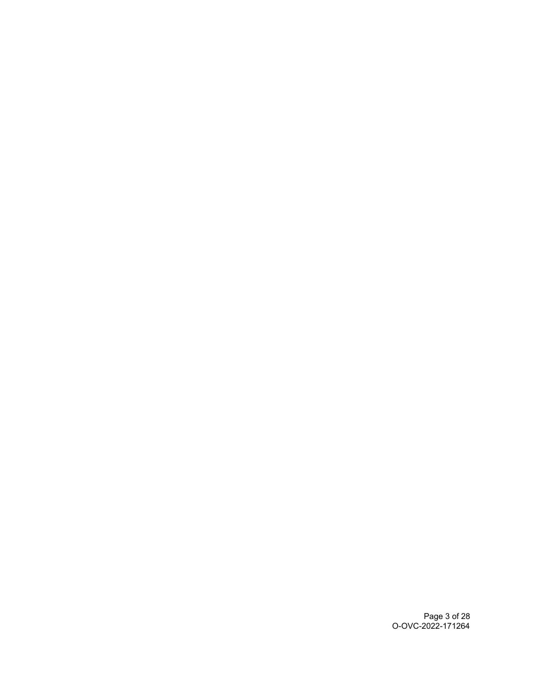Page 3 of 28 O-OVC-2022-171264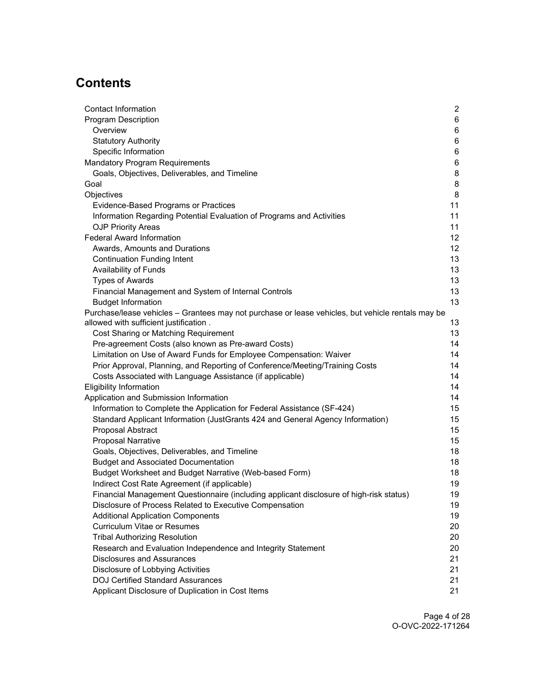# **Contents**

| <b>Contact Information</b>                                                                        | $\overline{c}$  |
|---------------------------------------------------------------------------------------------------|-----------------|
| <b>Program Description</b>                                                                        | 6               |
| Overview                                                                                          | 6               |
| <b>Statutory Authority</b>                                                                        | 6               |
| Specific Information                                                                              | 6               |
| <b>Mandatory Program Requirements</b>                                                             | 6               |
| Goals, Objectives, Deliverables, and Timeline                                                     | 8               |
| Goal                                                                                              | $\bf 8$         |
| Objectives                                                                                        | 8               |
| Evidence-Based Programs or Practices                                                              | 11              |
| Information Regarding Potential Evaluation of Programs and Activities                             | 11              |
| <b>OJP Priority Areas</b>                                                                         | 11              |
| <b>Federal Award Information</b>                                                                  | 12 <sup>2</sup> |
| Awards, Amounts and Durations                                                                     | 12 <sub>2</sub> |
| <b>Continuation Funding Intent</b>                                                                | 13              |
| Availability of Funds                                                                             | 13              |
| <b>Types of Awards</b>                                                                            | 13              |
| Financial Management and System of Internal Controls                                              | 13              |
| <b>Budget Information</b>                                                                         | 13              |
| Purchase/lease vehicles - Grantees may not purchase or lease vehicles, but vehicle rentals may be |                 |
| allowed with sufficient justification.                                                            | 13              |
| Cost Sharing or Matching Requirement                                                              | 13              |
| Pre-agreement Costs (also known as Pre-award Costs)                                               | 14              |
| Limitation on Use of Award Funds for Employee Compensation: Waiver                                | 14              |
| Prior Approval, Planning, and Reporting of Conference/Meeting/Training Costs                      | 14              |
| Costs Associated with Language Assistance (if applicable)                                         | 14              |
| <b>Eligibility Information</b>                                                                    | 14              |
| Application and Submission Information                                                            | 14              |
| Information to Complete the Application for Federal Assistance (SF-424)                           | 15              |
| Standard Applicant Information (JustGrants 424 and General Agency Information)                    | 15              |
| Proposal Abstract                                                                                 | 15              |
| <b>Proposal Narrative</b>                                                                         | 15              |
| Goals, Objectives, Deliverables, and Timeline                                                     | 18              |
| <b>Budget and Associated Documentation</b>                                                        | 18              |
| Budget Worksheet and Budget Narrative (Web-based Form)                                            | 18              |
| Indirect Cost Rate Agreement (if applicable)                                                      | 19              |
| Financial Management Questionnaire (including applicant disclosure of high-risk status)           | 19              |
| Disclosure of Process Related to Executive Compensation                                           | 19              |
| <b>Additional Application Components</b>                                                          | 19              |
| <b>Curriculum Vitae or Resumes</b>                                                                | 20              |
| <b>Tribal Authorizing Resolution</b>                                                              | 20              |
| Research and Evaluation Independence and Integrity Statement                                      | 20              |
| <b>Disclosures and Assurances</b>                                                                 | 21              |
| Disclosure of Lobbying Activities                                                                 | 21              |
| <b>DOJ Certified Standard Assurances</b>                                                          | 21              |
| Applicant Disclosure of Duplication in Cost Items                                                 | 21              |

Page 4 of 28 O-OVC-2022-171264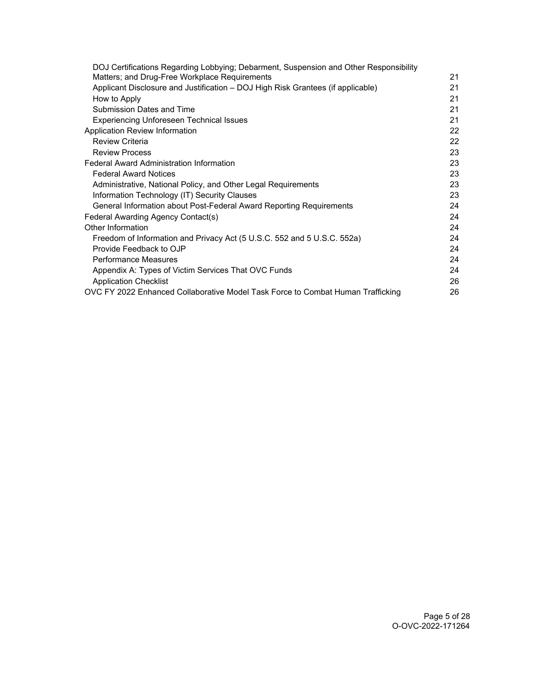| DOJ Certifications Regarding Lobbying; Debarment, Suspension and Other Responsibility |    |
|---------------------------------------------------------------------------------------|----|
| Matters; and Drug-Free Workplace Requirements                                         | 21 |
| Applicant Disclosure and Justification - DOJ High Risk Grantees (if applicable)       | 21 |
| How to Apply                                                                          | 21 |
| <b>Submission Dates and Time</b>                                                      | 21 |
| <b>Experiencing Unforeseen Technical Issues</b>                                       | 21 |
| Application Review Information                                                        | 22 |
| <b>Review Criteria</b>                                                                | 22 |
| <b>Review Process</b>                                                                 | 23 |
| <b>Federal Award Administration Information</b>                                       | 23 |
| <b>Federal Award Notices</b>                                                          | 23 |
| Administrative, National Policy, and Other Legal Requirements                         | 23 |
| Information Technology (IT) Security Clauses                                          | 23 |
| General Information about Post-Federal Award Reporting Requirements                   | 24 |
| Federal Awarding Agency Contact(s)                                                    | 24 |
| Other Information                                                                     | 24 |
| Freedom of Information and Privacy Act (5 U.S.C. 552 and 5 U.S.C. 552a)               | 24 |
| Provide Feedback to OJP                                                               | 24 |
| <b>Performance Measures</b>                                                           | 24 |
| Appendix A: Types of Victim Services That OVC Funds                                   | 24 |
| <b>Application Checklist</b>                                                          | 26 |
| OVC FY 2022 Enhanced Collaborative Model Task Force to Combat Human Trafficking       | 26 |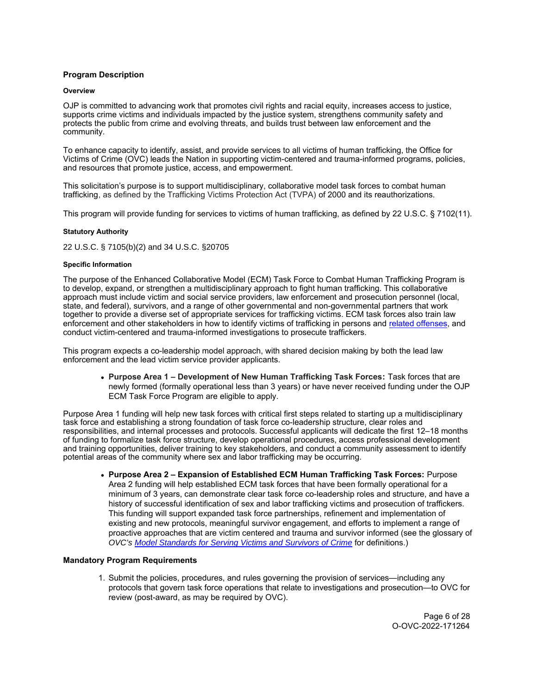# <span id="page-5-0"></span>**Program Description**

## **Overview**

OJP is committed to advancing work that promotes civil rights and racial equity, increases access to justice, supports crime victims and individuals impacted by the justice system, strengthens community safety and protects the public from crime and evolving threats, and builds trust between law enforcement and the community.

To enhance capacity to identify, assist, and provide services to all victims of human trafficking, the Office for Victims of Crime (OVC) leads the Nation in supporting victim-centered and trauma-informed programs, policies, and resources that promote justice, access, and empowerment.

This solicitation's purpose is to support multidisciplinary, collaborative model task forces to combat human trafficking, as defined by the Trafficking Victims Protection Act (TVPA) of 2000 and its reauthorizations.

This program will provide funding for services to victims of human trafficking, as defined by 22 U.S.C. § 7102(11).

## **Statutory Authority**

22 U.S.C. § 7105(b)(2) and 34 U.S.C. §20705

#### **Specific Information**

The purpose of the Enhanced Collaborative Model (ECM) Task Force to Combat Human Trafficking Program is to develop, expand, or strengthen a multidisciplinary approach to fight human trafficking. This collaborative approach must include victim and social service providers, law enforcement and prosecution personnel (local, state, and federal), survivors, and a range of other governmental and non-governmental partners that work together to provide a diverse set of appropriate services for trafficking victims. ECM task forces also train law enforcement and other stakeholders in how to identify victims of trafficking in persons and [related offenses,](https://www.law.cornell.edu/definitions/uscode.php?width=840&height=800&iframe=true&def_id=34-USC-1847384226-1897892550&term_occur=999&term_src=title:34:subtitle:II:chapter:207:section:20705) and conduct victim-centered and trauma-informed investigations to prosecute traffickers.

This program expects a co-leadership model approach, with shared decision making by both the lead law enforcement and the lead victim service provider applicants.

**Purpose Area 1 – Development of New Human Trafficking Task Forces:** Task forces that are newly formed (formally operational less than 3 years) or have never received funding under the OJP ECM Task Force Program are eligible to apply.

Purpose Area 1 funding will help new task forces with critical first steps related to starting up a multidisciplinary task force and establishing a strong foundation of task force co-leadership structure, clear roles and responsibilities, and internal processes and protocols. Successful applicants will dedicate the first 12–18 months of funding to formalize task force structure, develop operational procedures, access professional development and training opportunities, deliver training to key stakeholders, and conduct a community assessment to identify potential areas of the community where sex and labor trafficking may be occurring.

**Purpose Area 2 – Expansion of Established ECM Human Trafficking Task Forces:** Purpose Area 2 funding will help established ECM task forces that have been formally operational for a minimum of 3 years, can demonstrate clear task force co-leadership roles and structure, and have a history of successful identification of sex and labor trafficking victims and prosecution of traffickers. This funding will support expanded task force partnerships, refinement and implementation of existing and new protocols, meaningful survivor engagement, and efforts to implement a range of proactive approaches that are victim centered and trauma and survivor informed (see the glossary of OVC's [Model Standards for Serving Victims and Survivors of Crime](https://ovc.ojp.gov/sites/g/files/xyckuh226/files/model-standards/6/glossary.html) for definitions.)

## **Mandatory Program Requirements**

1. Submit the policies, procedures, and rules governing the provision of services—including any protocols that govern task force operations that relate to investigations and prosecution—to OVC for review (post-award, as may be required by OVC).

> Page 6 of 28 O-OVC-2022-171264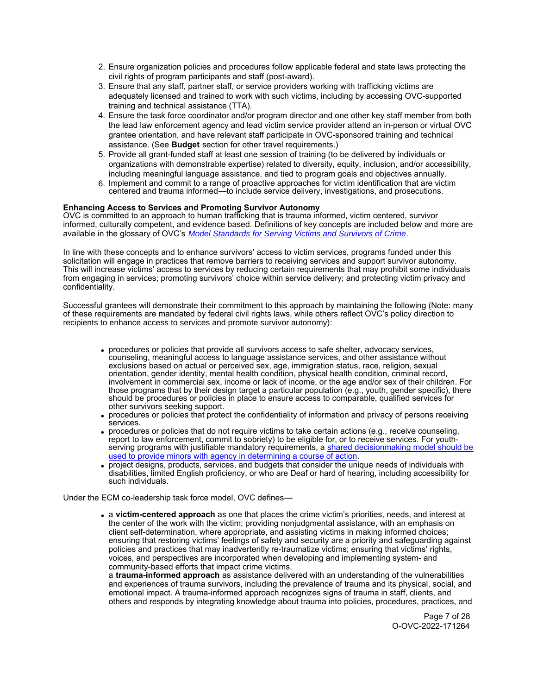- 2. Ensure organization policies and procedures follow applicable federal and state laws protecting the civil rights of program participants and staff (post-award).
- 3. Ensure that any staff, partner staff, or service providers working with trafficking victims are adequately licensed and trained to work with such victims, including by accessing OVC-supported training and technical assistance (TTA).
- 4. Ensure the task force coordinator and/or program director and one other key staff member from both the lead law enforcement agency and lead victim service provider attend an in-person or virtual OVC grantee orientation, and have relevant staff participate in OVC-sponsored training and technical assistance. (See **Budget** section for other travel requirements.)
- 5. Provide all grant-funded staff at least one session of training (to be delivered by individuals or organizations with demonstrable expertise) related to diversity, equity, inclusion, and/or accessibility, including meaningful language assistance, and tied to program goals and objectives annually.
- 6. Implement and commit to a range of proactive approaches for victim identification that are victim centered and trauma informed—to include service delivery, investigations, and prosecutions.

# **Enhancing Access to Services and Promoting Survivor Autonomy**

OVC is committed to an approach to human trafficking that is trauma informed, victim centered, survivor informed, culturally competent, and evidence based. Definitions of key concepts are included below and more are available in the glossary of OVC's [Model Standards for Serving Victims and Survivors of Crime](https://ovc.ojp.gov/sites/g/files/xyckuh226/files/model-standards/6/glossary.html).

In line with these concepts and to enhance survivors' access to victim services, programs funded under this solicitation will engage in practices that remove barriers to receiving services and support survivor autonomy. This will increase victims' access to services by reducing certain requirements that may prohibit some individuals from engaging in services; promoting survivors' choice within service delivery; and protecting victim privacy and confidentiality.

Successful grantees will demonstrate their commitment to this approach by maintaining the following (Note: many of these requirements are mandated by federal civil rights laws, while others reflect OVC's policy direction to recipients to enhance access to services and promote survivor autonomy):

- procedures or policies that provide all survivors access to safe shelter, advocacy services, counseling, meaningful access to language assistance services, and other assistance without exclusions based on actual or perceived sex, age, immigration status, race, religion, sexual orientation, gender identity, mental health condition, physical health condition, criminal record, involvement in commercial sex, income or lack of income, or the age and/or sex of their children. For those programs that by their design target a particular population (e.g., youth, gender specific), there should be procedures or policies in place to ensure access to comparable, qualified services for other survivors seeking support.
- procedures or policies that protect the confidentiality of information and privacy of persons receiving services.
- procedures or policies that do not require victims to take certain actions (e.g., receive counseling, report to law enforcement, commit to sobriety) to be eligible for, or to receive services. For youthserving programs with justifiable mandatory requirements, a [shared decisionmaking model should be](https://www.acf.hhs.gov/sites/default/files/documents/fysb/acf_issuebrief_htprevention_10202020_final_508.pdf)  [used to provide minors with agency in determining a course of action.](https://www.acf.hhs.gov/sites/default/files/documents/fysb/acf_issuebrief_htprevention_10202020_final_508.pdf)
- project designs, products, services, and budgets that consider the unique needs of individuals with disabilities, limited English proficiency, or who are Deaf or hard of hearing, including accessibility for such individuals.

Under the ECM co-leadership task force model, OVC defines—

a **victim-centered approach** as one that places the crime victim's priorities, needs, and interest at the center of the work with the victim; providing nonjudgmental assistance, with an emphasis on client self-determination, where appropriate, and assisting victims in making informed choices; ensuring that restoring victims' feelings of safety and security are a priority and safeguarding against policies and practices that may inadvertently re-traumatize victims; ensuring that victims' rights, voices, and perspectives are incorporated when developing and implementing system- and community-based efforts that impact crime victims.

a **trauma-informed approach** as assistance delivered with an understanding of the vulnerabilities and experiences of trauma survivors, including the prevalence of trauma and its physical, social, and emotional impact. A trauma-informed approach recognizes signs of trauma in staff, clients, and others and responds by integrating knowledge about trauma into policies, procedures, practices, and

> Page 7 of 28 O-OVC-2022-171264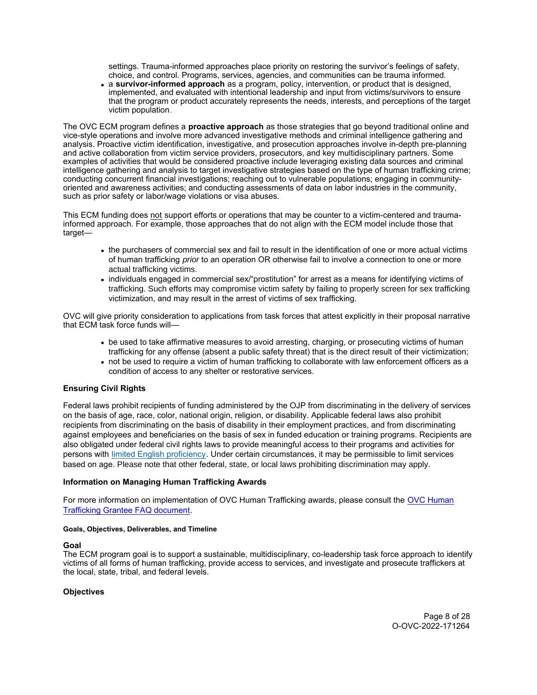<span id="page-7-0"></span>settings. Trauma-informed approaches place priority on restoring the survivor's feelings of safety, choice, and control. Programs, services, agencies, and communities can be trauma informed.

a **survivor-informed approach** as a program, policy, intervention, or product that is designed, implemented, and evaluated with intentional leadership and input from victims/survivors to ensure that the program or product accurately represents the needs, interests, and perceptions of the target victim population.

The OVC ECM program defines a **proactive approach** as those strategies that go beyond traditional online and vice-style operations and involve more advanced investigative methods and criminal intelligence gathering and analysis. Proactive victim identification, investigative, and prosecution approaches involve in-depth pre-planning and active collaboration from victim service providers, prosecutors, and key multidisciplinary partners. Some examples of activities that would be considered proactive include leveraging existing data sources and criminal intelligence gathering and analysis to target investigative strategies based on the type of human trafficking crime; conducting concurrent financial investigations; reaching out to vulnerable populations; engaging in communityoriented and awareness activities; and conducting assessments of data on labor industries in the community, such as prior safety or labor/wage violations or visa abuses.

This ECM funding does not support efforts or operations that may be counter to a victim-centered and traumainformed approach. For example, those approaches that do not align with the ECM model include those that target—

- the purchasers of commercial sex and fail to result in the identification of one or more actual victims of human trafficking prior to an operation OR otherwise fail to involve a connection to one or more actual trafficking victims.
- individuals engaged in commercial sex/"prostitution" for arrest as a means for identifying victims of trafficking. Such efforts may compromise victim safety by failing to properly screen for sex trafficking victimization, and may result in the arrest of victims of sex trafficking.

OVC will give priority consideration to applications from task forces that attest explicitly in their proposal narrative that ECM task force funds will—

- be used to take affirmative measures to avoid arresting, charging, or prosecuting victims of human trafficking for any offense (absent a public safety threat) that is the direct result of their victimization;
- not be used to require a victim of human trafficking to collaborate with law enforcement officers as a condition of access to any shelter or restorative services.

# **Ensuring Civil Rights**

Federal laws prohibit recipients of funding administered by the OJP from discriminating in the delivery of services on the basis of age, race, color, national origin, religion, or disability. Applicable federal laws also prohibit recipients from discriminating on the basis of disability in their employment practices, and from discriminating against employees and beneficiaries on the basis of sex in funded education or training programs. Recipients are also obligated under federal civil rights laws to provide meaningful access to their programs and activities for persons with [limited English proficiency.](https://www.ojp.gov/program/civil-rights/limited-english-proficient-lep) Under certain circumstances, it may be permissible to limit services based on age. Please note that other federal, state, or local laws prohibiting discrimination may apply.

# **Information on Managing Human Trafficking Awards**

For more information on implementation of OVC Human Trafficking awards, please consult the [OVC Human](https://ovc.ojp.gov/program/human-trafficking/ovc-human-trafficking-program-faqs)  [Trafficking Grantee FAQ document.](https://ovc.ojp.gov/program/human-trafficking/ovc-human-trafficking-program-faqs)

## **Goals, Objectives, Deliverables, and Timeline**

## **Goal**

The ECM program goal is to support a sustainable, multidisciplinary, co-leadership task force approach to identify victims of all forms of human trafficking, provide access to services, and investigate and prosecute traffickers at the local, state, tribal, and federal levels.

# **Objectives**

Page 8 of 28 O-OVC-2022-171264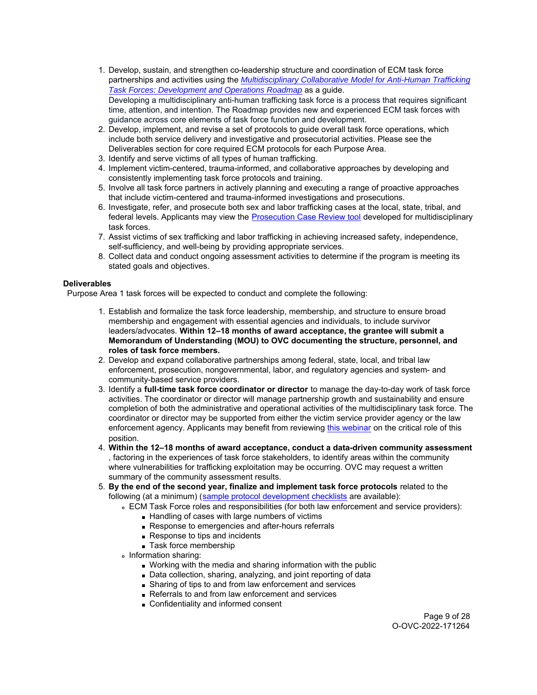- 1. Develop, sustain, and strengthen co-leadership structure and coordination of ECM task force partnerships and activities using the Multidisciplinary Collaborative Model for Anti-Human Trafficking [Task Forces: Development and Operations Roadmap](https://www.theiacp.org/resources/document/development-operations-roadmap-for-multidisciplinary-anti-human-trafficking-task) as a guide. Developing a multidisciplinary anti-human trafficking task force is a process that requires significant time, attention, and intention. The Roadmap provides new and experienced ECM task forces with guidance across core elements of task force function and development.
- 2. Develop, implement, and revise a set of protocols to guide overall task force operations, which include both service delivery and investigative and prosecutorial activities. Please see the Deliverables section for core required ECM protocols for each Purpose Area.
- 3. Identify and serve victims of all types of human trafficking.
- 4. Implement victim-centered, trauma-informed, and collaborative approaches by developing and consistently implementing task force protocols and training.
- 5. Involve all task force partners in actively planning and executing a range of proactive approaches that include victim-centered and trauma-informed investigations and prosecutions.
- 6. Investigate, refer, and prosecute both sex and labor trafficking cases at the local, state, tribal, and federal levels. Applicants may view the [Prosecution Case Review tool](https://www.theiacp.org/sites/default/files/HumanTrafficking/247373_IACP_Prosecution_508.pdf) developed for multidisciplinary task forces.
- 7. Assist victims of sex trafficking and labor trafficking in achieving increased safety, independence, self-sufficiency, and well-being by providing appropriate services.
- 8. Collect data and conduct ongoing assessment activities to determine if the program is meeting its stated goals and objectives.

# **Deliverables**

Purpose Area 1 task forces will be expected to conduct and complete the following:

- 1. Establish and formalize the task force leadership, membership, and structure to ensure broad membership and engagement with essential agencies and individuals, to include survivor leaders/advocates. **Within 12–18 months of award acceptance, the grantee will submit a Memorandum of Understanding (MOU) to OVC documenting the structure, personnel, and roles of task force members.**
- 2. Develop and expand collaborative partnerships among federal, state, local, and tribal law enforcement, prosecution, nongovernmental, labor, and regulatory agencies and system- and community-based service providers.
- 3. Identify a **full-time task force coordinator or director** to manage the day-to-day work of task force activities. The coordinator or director will manage partnership growth and sustainability and ensure completion of both the administrative and operational activities of the multidisciplinary task force. The coordinator or director may be supported from either the victim service provider agency or the law enforcement agency. Applicants may benefit from reviewing [this webinar](https://learn.theiacp.org) on the critical role of this position.
- 4. **Within the 12–18 months of award acceptance, conduct a data-driven community assessment**  , factoring in the experiences of task force stakeholders, to identify areas within the community where vulnerabilities for trafficking exploitation may be occurring. OVC may request a written summary of the community assessment results.
- 5. **By the end of the second year, finalize and implement task force protocols** related to the following (at a minimum) ([sample protocol development checklists](https://www.theiacp.org/resources/document/enhanced-collaborative-model-ecm-anti-human-trafficking-task-force-protocol) are available):
	- ECM Task Force roles and responsibilities (for both law enforcement and service providers):
		- Handling of cases with large numbers of victims
		- Response to emergencies and after-hours referrals
		- Response to tips and incidents
		- **Task force membership**
	- Information sharing:
		- Working with the media and sharing information with the public
		- Data collection, sharing, analyzing, and joint reporting of data
		- Sharing of tips to and from law enforcement and services
		- Referrals to and from law enforcement and services
		- Confidentiality and informed consent

Page 9 of 28 O-OVC-2022-171264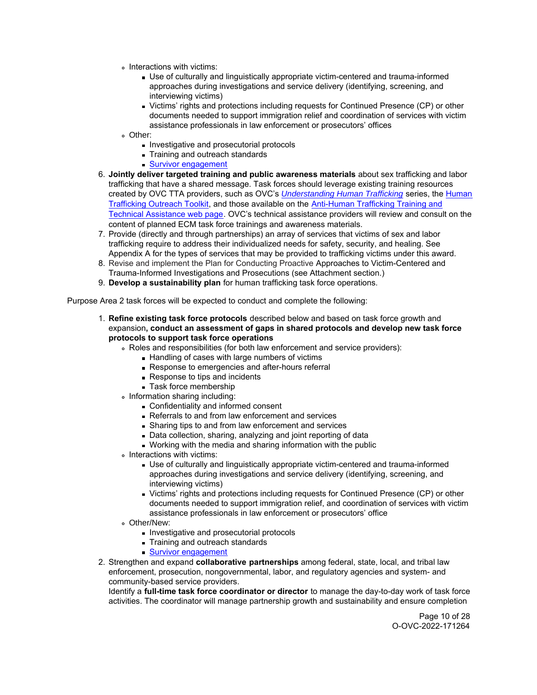- o Interactions with victims:
	- Use of culturally and linguistically appropriate victim-centered and trauma-informed approaches during investigations and service delivery (identifying, screening, and interviewing victims)
	- Victims' rights and protections including requests for Continued Presence (CP) or other documents needed to support immigration relief and coordination of services with victim assistance professionals in law enforcement or prosecutors' offices
- Other:
	- **Investigative and prosecutorial protocols**
	- Training and outreach standards
	- [Survivor engagement](https://htcbc.ovc.ojp.gov/sites/g/files/xyckuh311/files/media/document/Practical_Guide_Survivor_Informed_Services.pdf)
- 6. **Jointly deliver targeted training and public awareness materials** about sex trafficking and labor trafficking that have a shared message. Task forces should leverage existing training resources created by OVC TTA providers, such as OVC's [Understanding Human Trafficking](https://www.ovcttac.gov/understandinghumantrafficking/) series, the Human [Trafficking Outreach Toolkit,](https://ovc.ojp.gov/library/publications/human-trafficking-outreach-toolkit) and those available on the [Anti-Human Trafficking Training and](https://www.theiacp.org/projects/anti-human-trafficking-training-and-technical-assistance)  [Technical Assistance web page.](https://www.theiacp.org/projects/anti-human-trafficking-training-and-technical-assistance) OVC's technical assistance providers will review and consult on the content of planned ECM task force trainings and awareness materials.
- 7. Provide (directly and through partnerships) an array of services that victims of sex and labor trafficking require to address their individualized needs for safety, security, and healing. See Appendix A for the types of services that may be provided to trafficking victims under this award.
- 8. Revise and implement the Plan for Conducting Proactive Approaches to Victim-Centered and Trauma-Informed Investigations and Prosecutions (see Attachment section.)
- 9. **Develop a sustainability plan** for human trafficking task force operations.

Purpose Area 2 task forces will be expected to conduct and complete the following:

- 1. **Refine existing task force protocols** described below and based on task force growth and expansion**, conduct an assessment of gaps in shared protocols and develop new task force protocols to support task force operations** 
	- Roles and responsibilities (for both law enforcement and service providers):
		- Handling of cases with large numbers of victims
		- Response to emergencies and after-hours referral
		- Response to tips and incidents
		- **Task force membership**
	- Information sharing including:
		- Confidentiality and informed consent
		- Referrals to and from law enforcement and services
		- Sharing tips to and from law enforcement and services
		- Data collection, sharing, analyzing and joint reporting of data
		- Working with the media and sharing information with the public
	- o Interactions with victims:
		- Use of culturally and linguistically appropriate victim-centered and trauma-informed approaches during investigations and service delivery (identifying, screening, and interviewing victims)
		- Victims' rights and protections including requests for Continued Presence (CP) or other documents needed to support immigration relief, and coordination of services with victim assistance professionals in law enforcement or prosecutors' office
	- Other/New:
		- **Investigative and prosecutorial protocols**
		- **Training and outreach standards**
		- **Survivor engagement**
- 2. Strengthen and expand **collaborative partnerships** among federal, state, local, and tribal law enforcement, prosecution, nongovernmental, labor, and regulatory agencies and system- and community-based service providers.

Identify a **full-time task force coordinator or director** to manage the day-to-day work of task force activities. The coordinator will manage partnership growth and sustainability and ensure completion

> Page 10 of 28 O-OVC-2022-171264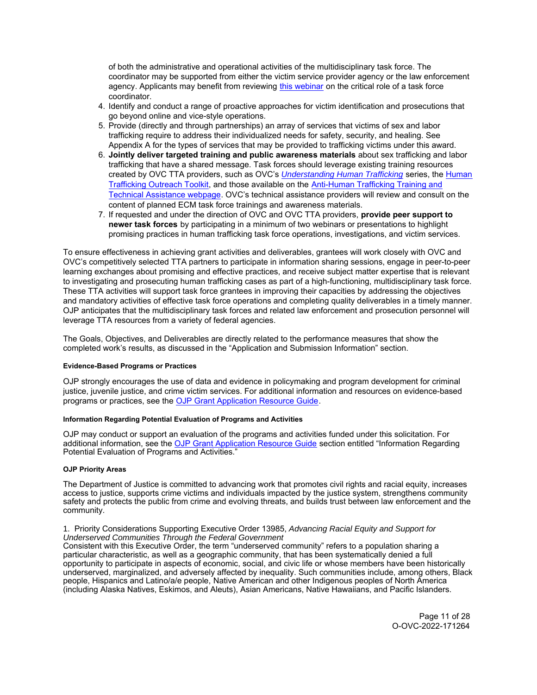<span id="page-10-0"></span>of both the administrative and operational activities of the multidisciplinary task force. The coordinator may be supported from either the victim service provider agency or the law enforcement agency. Applicants may benefit from reviewing [this webinar](https://learn.theiacp.org) on the critical role of a task force coordinator.

- 4. Identify and conduct a range of proactive approaches for victim identification and prosecutions that go beyond online and vice-style operations.
- 5. Provide (directly and through partnerships) an array of services that victims of sex and labor trafficking require to address their individualized needs for safety, security, and healing. See Appendix A for the types of services that may be provided to trafficking victims under this award.
- 6. **Jointly deliver targeted training and public awareness materials** about sex trafficking and labor trafficking that have a shared message. Task forces should leverage existing training resources created by OVC TTA providers, such as OVC's *[Understanding Human Trafficking](https://www.ovcttac.gov/understandinghumantrafficking/)* series, the Human [Trafficking Outreach Toolkit,](https://ovc.ojp.gov/library/publications/human-trafficking-outreach-toolkit) and those available on the [Anti-Human Trafficking Training and](https://www.theiacp.org/projects/anti-human-trafficking-training-and-technical-assistance)  [Technical Assistance webpage.](https://www.theiacp.org/projects/anti-human-trafficking-training-and-technical-assistance) OVC's technical assistance providers will review and consult on the content of planned ECM task force trainings and awareness materials.
- 7. If requested and under the direction of OVC and OVC TTA providers, **provide peer support to newer task forces** by participating in a minimum of two webinars or presentations to highlight promising practices in human trafficking task force operations, investigations, and victim services.

To ensure effectiveness in achieving grant activities and deliverables, grantees will work closely with OVC and OVC's competitively selected TTA partners to participate in information sharing sessions, engage in peer-to-peer learning exchanges about promising and effective practices, and receive subject matter expertise that is relevant to investigating and prosecuting human trafficking cases as part of a high-functioning, multidisciplinary task force. These TTA activities will support task force grantees in improving their capacities by addressing the objectives and mandatory activities of effective task force operations and completing quality deliverables in a timely manner. OJP anticipates that the multidisciplinary task forces and related law enforcement and prosecution personnel will leverage TTA resources from a variety of federal agencies.

The Goals, Objectives, and Deliverables are directly related to the performance measures that show the completed work's results, as discussed in the "Application and Submission Information" section.

## **Evidence-Based Programs or Practices**

OJP strongly encourages the use of data and evidence in policymaking and program development for criminal justice, juvenile justice, and crime victim services. For additional information and resources on evidence-based programs or practices, see the [OJP Grant Application Resource Guide.](https://www.ojp.gov/funding/apply/ojp-grant-application-resource-guide#evidence-based)

## **Information Regarding Potential Evaluation of Programs and Activities**

OJP may conduct or support an evaluation of the programs and activities funded under this solicitation. For additional information, see the [OJP Grant Application Resource Guide](https://www.ojp.gov/funding/apply/ojp-grant-application-resource-guide#potential-evaluation) section entitled "Information Regarding Potential Evaluation of Programs and Activities."

## **OJP Priority Areas**

The Department of Justice is committed to advancing work that promotes civil rights and racial equity, increases access to justice, supports crime victims and individuals impacted by the justice system, strengthens community safety and protects the public from crime and evolving threats, and builds trust between law enforcement and the community.

# 1. Priority Considerations Supporting Executive Order 13985, Advancing Racial Equity and Support for Underserved Communities Through the Federal Government

Consistent with this Executive Order, the term "underserved community" refers to a population sharing a particular characteristic, as well as a geographic community, that has been systematically denied a full opportunity to participate in aspects of economic, social, and civic life or whose members have been historically underserved, marginalized, and adversely affected by inequality. Such communities include, among others, Black people, Hispanics and Latino/a/e people, Native American and other Indigenous peoples of North America (including Alaska Natives, Eskimos, and Aleuts), Asian Americans, Native Hawaiians, and Pacific Islanders.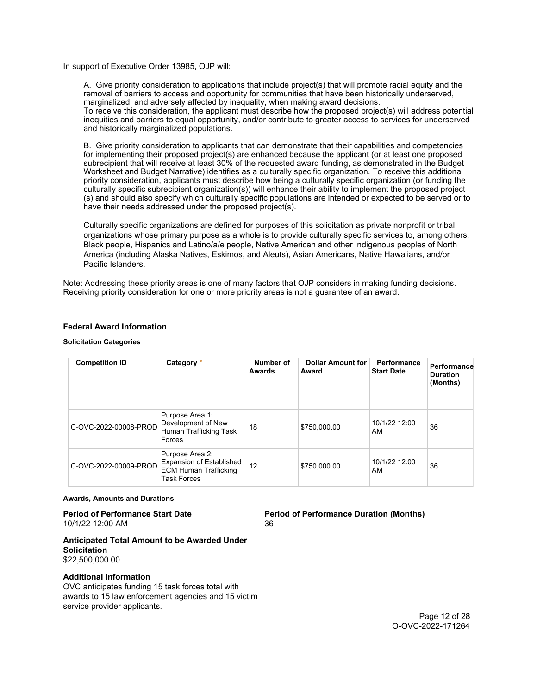<span id="page-11-0"></span>In support of Executive Order 13985, OJP will:

A. Give priority consideration to applications that include project(s) that will promote racial equity and the removal of barriers to access and opportunity for communities that have been historically underserved, marginalized, and adversely affected by inequality, when making award decisions. To receive this consideration, the applicant must describe how the proposed project(s) will address potential inequities and barriers to equal opportunity, and/or contribute to greater access to services for underserved and historically marginalized populations.

B. Give priority consideration to applicants that can demonstrate that their capabilities and competencies for implementing their proposed project(s) are enhanced because the applicant (or at least one proposed subrecipient that will receive at least 30% of the requested award funding, as demonstrated in the Budget Worksheet and Budget Narrative) identifies as a culturally specific organization. To receive this additional priority consideration, applicants must describe how being a culturally specific organization (or funding the culturally specific subrecipient organization(s)) will enhance their ability to implement the proposed project (s) and should also specify which culturally specific populations are intended or expected to be served or to have their needs addressed under the proposed project(s).

Culturally specific organizations are defined for purposes of this solicitation as private nonprofit or tribal organizations whose primary purpose as a whole is to provide culturally specific services to, among others, Black people, Hispanics and Latino/a/e people, Native American and other Indigenous peoples of North America (including Alaska Natives, Eskimos, and Aleuts), Asian Americans, Native Hawaiians, and/or Pacific Islanders.

Note: Addressing these priority areas is one of many factors that OJP considers in making funding decisions. Receiving priority consideration for one or more priority areas is not a guarantee of an award.

## **Federal Award Information**

#### **Solicitation Categories**

| <b>Competition ID</b> | Category *                                                                                        | Number of<br>Awards | <b>Dollar Amount for</b><br>Award | Performance<br><b>Start Date</b> | Performance<br><b>Duration</b><br>(Months) |
|-----------------------|---------------------------------------------------------------------------------------------------|---------------------|-----------------------------------|----------------------------------|--------------------------------------------|
| C-OVC-2022-00008-PROD | Purpose Area 1:<br>Development of New<br>Human Trafficking Task<br>Forces                         | 18                  | \$750,000.00                      | 10/1/22 12:00<br>AM              | 36                                         |
| C-OVC-2022-00009-PROD | Purpose Area 2:<br>Expansion of Established<br><b>ECM Human Trafficking</b><br><b>Task Forces</b> | 12                  | \$750,000.00                      | 10/1/22 12:00<br>AM              | 36                                         |

#### **Awards, Amounts and Durations**

# 10/1/22 12:00 AM 36

**Period of Performance Start Date**  Period of Performance Duration (Months)

**Anticipated Total Amount to be Awarded Under Solicitation**  \$22,500,000.00

## **Additional Information**

OVC anticipates funding 15 task forces total with awards to 15 law enforcement agencies and 15 victim service provider applicants.

> Page 12 of 28 O-OVC-2022-171264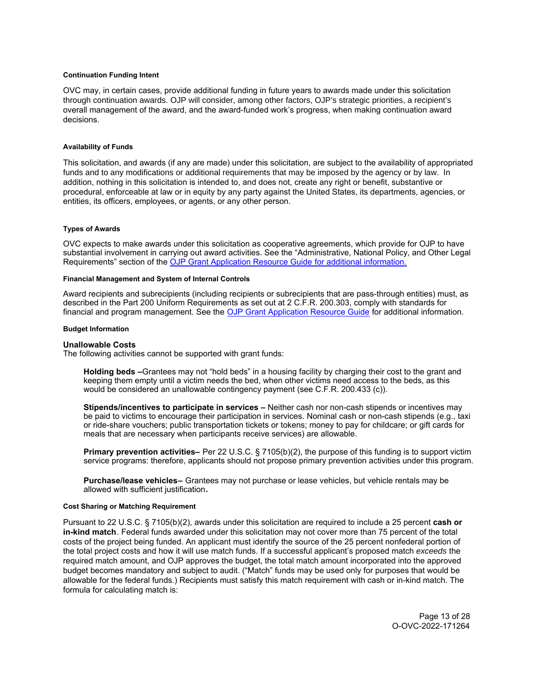#### <span id="page-12-0"></span>**Continuation Funding Intent**

OVC may, in certain cases, provide additional funding in future years to awards made under this solicitation through continuation awards. OJP will consider, among other factors, OJP's strategic priorities, a recipient's overall management of the award, and the award-funded work's progress, when making continuation award decisions.

#### **Availability of Funds**

This solicitation, and awards (if any are made) under this solicitation, are subject to the availability of appropriated funds and to any modifications or additional requirements that may be imposed by the agency or by law. In addition, nothing in this solicitation is intended to, and does not, create any right or benefit, substantive or procedural, enforceable at law or in equity by any party against the United States, its departments, agencies, or entities, its officers, employees, or agents, or any other person.

## **Types of Awards**

OVC expects to make awards under this solicitation as cooperative agreements, which provide for OJP to have substantial involvement in carrying out award activities. See the "Administrative, National Policy, and Other Legal Requirements" section of the [OJP Grant Application Resource Guide](https://ojp.gov/funding/Apply/Resources/Grant-App-Resource-Guide.htm) for additional information.

#### **Financial Management and System of Internal Controls**

Award recipients and subrecipients (including recipients or subrecipients that are pass-through entities) must, as described in the Part 200 Uniform Requirements as set out at 2 C.F.R. 200.303, comply with standards for financial and program management. See the [OJP Grant Application Resource Guide](https://www.ojp.gov/funding/apply/ojp-grant-application-resource-guide#fm-internal-controls) for additional information.

#### **Budget Information**

#### **Unallowable Costs**

The following activities cannot be supported with grant funds:

**Holding beds –**Grantees may not "hold beds" in a housing facility by charging their cost to the grant and keeping them empty until a victim needs the bed, when other victims need access to the beds, as this would be considered an unallowable contingency payment (see C.F.R. 200.433 (c)).

**Stipends/incentives to participate in services –** Neither cash nor non-cash stipends or incentives may be paid to victims to encourage their participation in services. Nominal cash or non-cash stipends (e.g., taxi or ride-share vouchers; public transportation tickets or tokens; money to pay for childcare; or gift cards for meals that are necessary when participants receive services) are allowable.

**Primary prevention activities–** Per 22 U.S.C. § 7105(b)(2), the purpose of this funding is to support victim service programs: therefore, applicants should not propose primary prevention activities under this program.

**Purchase/lease vehicles–** Grantees may not purchase or lease vehicles, but vehicle rentals may be allowed with sufficient justification**.** 

## **Cost Sharing or Matching Requirement**

Pursuant to 22 U.S.C. § 7105(b)(2), awards under this solicitation are required to include a 25 percent **cash or in-kind match**. Federal funds awarded under this solicitation may not cover more than 75 percent of the total costs of the project being funded. An applicant must identify the source of the 25 percent nonfederal portion of the total project costs and how it will use match funds. If a successful applicant's proposed match exceeds the required match amount, and OJP approves the budget, the total match amount incorporated into the approved budget becomes mandatory and subject to audit. ("Match" funds may be used only for purposes that would be allowable for the federal funds.) Recipients must satisfy this match requirement with cash or in-kind match. The formula for calculating match is:

> Page 13 of 28 O-OVC-2022-171264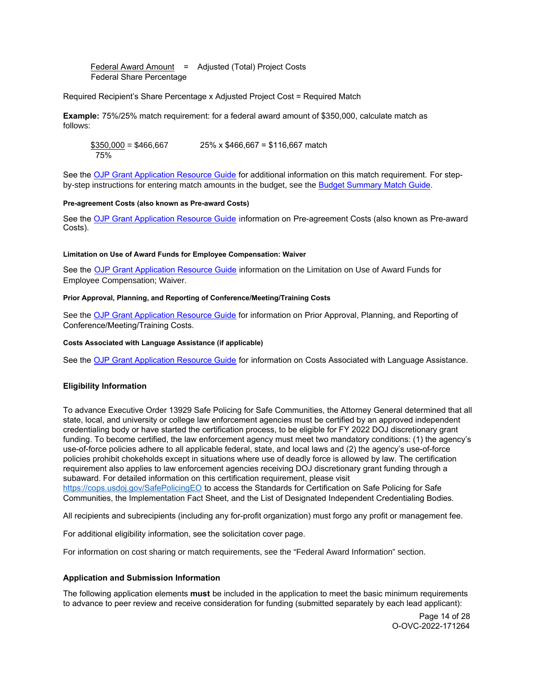<span id="page-13-0"></span>Federal Award Amount = Adjusted (Total) Project Costs Federal Share Percentage

Required Recipient's Share Percentage x Adjusted Project Cost = Required Match

**Example:** 75%/25% match requirement: for a federal award amount of \$350,000, calculate match as follows:

 $$350,000 = $466,667$  25% x \$466,667 = \$116,667 match 75%

See the [OJP Grant Application Resource Guide](https://www.ojp.gov/funding/Apply/Resources/Grant-App-Resource-Guide.htm) for additional information on this match requirement. For stepby-step instructions for entering match amounts in the budget, see the [Budget Summary Match Guide.](https://justicegrants.usdoj.gov/sites/g/files/xyckuh296/files/media/document/budget-summary-match-guide.pdf)

## **Pre-agreement Costs (also known as Pre-award Costs)**

See the [OJP Grant Application Resource Guide](https://www.ojp.gov/funding/apply/ojp-grant-application-resource-guide#pre-agreement-costs) information on Pre-agreement Costs (also known as Pre-award Costs).

## **Limitation on Use of Award Funds for Employee Compensation: Waiver**

See the [OJP Grant Application Resource Guide](https://www.ojp.gov/funding/apply/ojp-grant-application-resource-guide#limitation-use-award) information on the Limitation on Use of Award Funds for Employee Compensation; Waiver.

## **Prior Approval, Planning, and Reporting of Conference/Meeting/Training Costs**

See the [OJP Grant Application Resource Guide](https://www.ojp.gov/funding/apply/ojp-grant-application-resource-guide#prior-approval) for information on Prior Approval, Planning, and Reporting of Conference/Meeting/Training Costs.

## **Costs Associated with Language Assistance (if applicable)**

See the [OJP Grant Application Resource Guide](https://www.ojp.gov/funding/apply/ojp-grant-application-resource-guide#costs-associated) for information on Costs Associated with Language Assistance.

# **Eligibility Information**

To advance Executive Order 13929 Safe Policing for Safe Communities, the Attorney General determined that all state, local, and university or college law enforcement agencies must be certified by an approved independent credentialing body or have started the certification process, to be eligible for FY 2022 DOJ discretionary grant funding. To become certified, the law enforcement agency must meet two mandatory conditions: (1) the agency's use-of-force policies adhere to all applicable federal, state, and local laws and (2) the agency's use-of-force policies prohibit chokeholds except in situations where use of deadly force is allowed by law. The certification requirement also applies to law enforcement agencies receiving DOJ discretionary grant funding through a subaward. For detailed information on this certification requirement, please visit <https://cops.usdoj.gov/SafePolicingEO>to access the Standards for Certification on Safe Policing for Safe

Communities, the Implementation Fact Sheet, and the List of Designated Independent Credentialing Bodies.

All recipients and subrecipients (including any for-profit organization) must forgo any profit or management fee.

For additional eligibility information, see the solicitation cover page.

For information on cost sharing or match requirements, see the "Federal Award Information" section.

# **Application and Submission Information**

The following application elements **must** be included in the application to meet the basic minimum requirements to advance to peer review and receive consideration for funding (submitted separately by each lead applicant):

> Page 14 of 28 O-OVC-2022-171264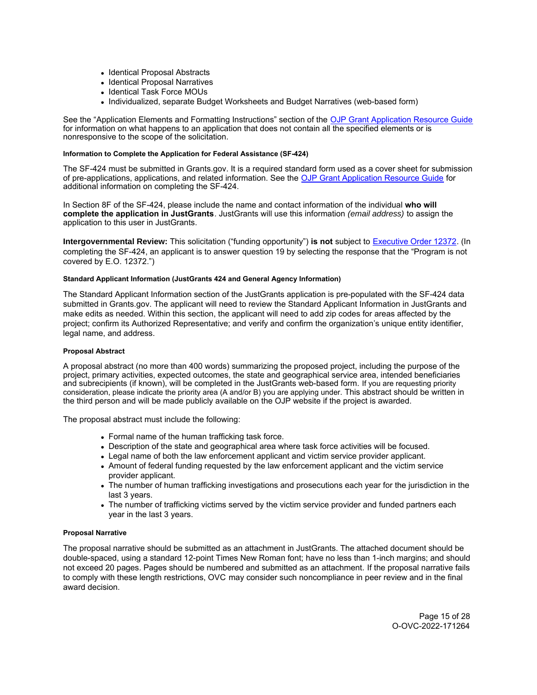- <span id="page-14-0"></span>• Identical Proposal Abstracts
- Identical Proposal Narratives
- Identical Task Force MOUs
- Individualized, separate Budget Worksheets and Budget Narratives (web-based form)

See the "Application Elements and Formatting Instructions" section of the [OJP Grant Application Resource Guide](https://ojp.gov/funding/Apply/Resources/Grant-App-Resource-Guide.htm)  for information on what happens to an application that does not contain all the specified elements or is nonresponsive to the scope of the solicitation.

## **Information to Complete the Application for Federal Assistance (SF-424)**

The SF-424 must be submitted in [Grants.gov](https://Grants.gov). It is a required standard form used as a cover sheet for submission of pre-applications, applications, and related information. See the [OJP Grant Application Resource Guide](https://www.ojp.gov/funding/Apply/Resources/Grant-App-Resource-Guide.htm) for additional information on completing the SF-424.

In Section 8F of the SF-424, please include the name and contact information of the individual **who will complete the application in JustGrants**. JustGrants will use this information (email address) to assign the application to this user in JustGrants.

**Intergovernmental Review:** This solicitation ("funding opportunity") **is not** subject to [Executive Order 12372.](https://www.archives.gov/federal-register/codification/executive-order/12372.html) (In completing the SF-424, an applicant is to answer question 19 by selecting the response that the "Program is not covered by E.O. 12372.")

## **Standard Applicant Information (JustGrants 424 and General Agency Information)**

The Standard Applicant Information section of the JustGrants application is pre-populated with the SF-424 data submitted in [Grants.gov.](https://Grants.gov) The applicant will need to review the Standard Applicant Information in JustGrants and make edits as needed. Within this section, the applicant will need to add zip codes for areas affected by the project; confirm its Authorized Representative; and verify and confirm the organization's unique entity identifier, legal name, and address.

## **Proposal Abstract**

A proposal abstract (no more than 400 words) summarizing the proposed project, including the purpose of the project, primary activities, expected outcomes, the state and geographical service area, intended beneficiaries and subrecipients (if known), will be completed in the JustGrants web-based form. If you are requesting priority consideration, please indicate the priority area (A and/or B) you are applying under. This abstract should be written in the third person and will be made publicly available on the OJP website if the project is awarded.

The proposal abstract must include the following:

- Formal name of the human trafficking task force.
- Description of the state and geographical area where task force activities will be focused.
- Legal name of both the law enforcement applicant and victim service provider applicant.
- Amount of federal funding requested by the law enforcement applicant and the victim service provider applicant.
- The number of human trafficking investigations and prosecutions each year for the jurisdiction in the last 3 years.
- The number of trafficking victims served by the victim service provider and funded partners each year in the last 3 years.

# **Proposal Narrative**

The proposal narrative should be submitted as an attachment in JustGrants. The attached document should be double-spaced, using a standard 12-point Times New Roman font; have no less than 1-inch margins; and should not exceed 20 pages. Pages should be numbered and submitted as an attachment. If the proposal narrative fails to comply with these length restrictions, OVC may consider such noncompliance in peer review and in the final award decision.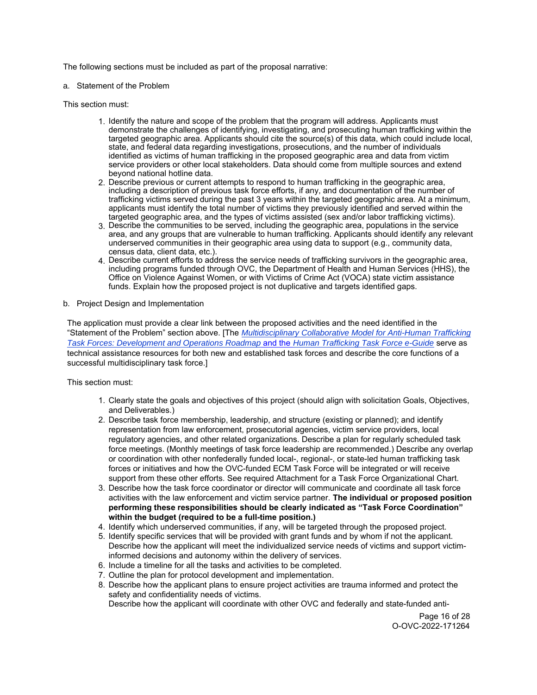The following sections must be included as part of the proposal narrative:

# a. Statement of the Problem

This section must:

- 1. Identify the nature and scope of the problem that the program will address. Applicants must demonstrate the challenges of identifying, investigating, and prosecuting human trafficking within the targeted geographic area. Applicants should cite the source(s) of this data, which could include local, state, and federal data regarding investigations, prosecutions, and the number of individuals identified as victims of human trafficking in the proposed geographic area and data from victim service providers or other local stakeholders. Data should come from multiple sources and extend beyond national hotline data.
- 2. Describe previous or current attempts to respond to human trafficking in the geographic area, including a description of previous task force efforts, if any, and documentation of the number of trafficking victims served during the past 3 years within the targeted geographic area. At a minimum, applicants must identify the total number of victims they previously identified and served within the targeted geographic area, and the types of victims assisted (sex and/or labor trafficking victims).
- 3. Describe the communities to be served, including the geographic area, populations in the service area, and any groups that are vulnerable to human trafficking. Applicants should identify any relevant underserved communities in their geographic area using data to support (e.g., community data, census data, client data, etc.).
- 4. Describe current efforts to address the service needs of trafficking survivors in the geographic area, including programs funded through OVC, the Department of Health and Human Services (HHS), the Office on Violence Against Women, or with Victims of Crime Act (VOCA) state victim assistance funds. Explain how the proposed project is not duplicative and targets identified gaps.
- b. Project Design and Implementation

The application must provide a clear link between the proposed activities and the need identified in the "Statement of the Problem" section above. [The [Multidisciplinary Collaborative Model for Anti-Human Trafficking](https://www.theiacp.org/resources/document/development-operations-roadmap-for-multidisciplinary-anti-human-trafficking-task)  [Task Forces: Development and Operations Roadmap](https://www.theiacp.org/resources/document/development-operations-roadmap-for-multidisciplinary-anti-human-trafficking-task) and the [Human Trafficking Task Force e-Guide](https://www.ovcttac.gov/TaskForceGuide/eguide/) serve as technical assistance resources for both new and established task forces and describe the core functions of a successful multidisciplinary task force.]

This section must:

- 1. Clearly state the goals and objectives of this project (should align with solicitation Goals, Objectives, and Deliverables.)
- 2. Describe task force membership, leadership, and structure (existing or planned); and identify representation from law enforcement, prosecutorial agencies, victim service providers, local regulatory agencies, and other related organizations. Describe a plan for regularly scheduled task force meetings. (Monthly meetings of task force leadership are recommended.) Describe any overlap or coordination with other nonfederally funded local-, regional-, or state-led human trafficking task forces or initiatives and how the OVC-funded ECM Task Force will be integrated or will receive support from these other efforts. See required Attachment for a Task Force Organizational Chart.
- 3. Describe how the task force coordinator or director will communicate and coordinate all task force activities with the law enforcement and victim service partner. **The individual or proposed position performing these responsibilities should be clearly indicated as "Task Force Coordination" within the budget (required to be a full-time position.)**
- 4. Identify which underserved communities, if any, will be targeted through the proposed project.
- 5. Identify specific services that will be provided with grant funds and by whom if not the applicant. Describe how the applicant will meet the individualized service needs of victims and support victiminformed decisions and autonomy within the delivery of services.
- 6. Include a timeline for all the tasks and activities to be completed.
- 7. Outline the plan for protocol development and implementation.
- 8. Describe how the applicant plans to ensure project activities are trauma informed and protect the safety and confidentiality needs of victims. Describe how the applicant will coordinate with other OVC and federally and state-funded anti-

Page 16 of 28 O-OVC-2022-171264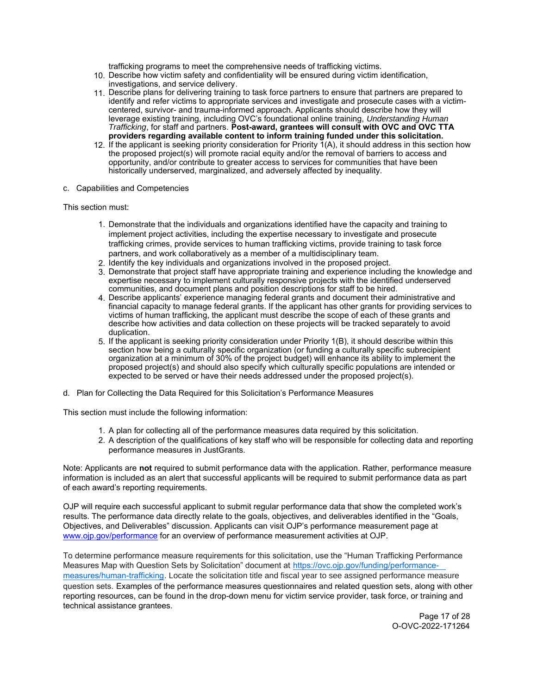trafficking programs to meet the comprehensive needs of trafficking victims.

- 10. Describe how victim safety and confidentiality will be ensured during victim identification, investigations, and service delivery.
- 11. Describe plans for delivering training to task force partners to ensure that partners are prepared to identify and refer victims to appropriate services and investigate and prosecute cases with a victimcentered, survivor- and trauma-informed approach. Applicants should describe how they will leverage existing training, including OVC's foundational online training, Understanding Human Trafficking, for staff and partners. **Post-award, grantees will consult with OVC and OVC TTA providers regarding available content to inform training funded under this solicitation.**
- 12. If the applicant is seeking priority consideration for Priority 1(A), it should address in this section how the proposed project(s) will promote racial equity and/or the removal of barriers to access and opportunity, and/or contribute to greater access to services for communities that have been historically underserved, marginalized, and adversely affected by inequality.
- c. Capabilities and Competencies

This section must:

- 1. Demonstrate that the individuals and organizations identified have the capacity and training to implement project activities, including the expertise necessary to investigate and prosecute trafficking crimes, provide services to human trafficking victims, provide training to task force partners, and work collaboratively as a member of a multidisciplinary team.
- 2. Identify the key individuals and organizations involved in the proposed project.
- 3. Demonstrate that project staff have appropriate training and experience including the knowledge and expertise necessary to implement culturally responsive projects with the identified underserved communities, and document plans and position descriptions for staff to be hired.
- 4. Describe applicants' experience managing federal grants and document their administrative and financial capacity to manage federal grants. If the applicant has other grants for providing services to victims of human trafficking, the applicant must describe the scope of each of these grants and describe how activities and data collection on these projects will be tracked separately to avoid duplication.
- 5. If the applicant is seeking priority consideration under Priority 1(B), it should describe within this section how being a culturally specific organization (or funding a culturally specific subrecipient organization at a minimum of 30% of the project budget) will enhance its ability to implement the proposed project(s) and should also specify which culturally specific populations are intended or expected to be served or have their needs addressed under the proposed project(s).
- d. Plan for Collecting the Data Required for this Solicitation's Performance Measures

This section must include the following information:

- 1. A plan for collecting all of the performance measures data required by this solicitation.
- 2. A description of the qualifications of key staff who will be responsible for collecting data and reporting performance measures in JustGrants.

Note: Applicants are **not** required to submit performance data with the application. Rather, performance measure information is included as an alert that successful applicants will be required to submit performance data as part of each award's reporting requirements.

OJP will require each successful applicant to submit regular performance data that show the completed work's results. The performance data directly relate to the goals, objectives, and deliverables identified in the "Goals, Objectives, and Deliverables" discussion. Applicants can visit OJP's performance measurement page at [www.ojp.gov/performance](https://www.ojp.gov/performance) for an overview of performance measurement activities at OJP.

To determine performance measure requirements for this solicitation, use the "Human Trafficking Performance Measures Map with Question Sets by Solicitation" document at [https://ovc.ojp.gov/funding/performance](https://ovc.ojp.gov/funding/performance-measures/human-trafficking)[measures/human-trafficking](https://ovc.ojp.gov/funding/performance-measures/human-trafficking). Locate the solicitation title and fiscal year to see assigned performance measure question sets. Examples of the performance measures questionnaires and related question sets, along with other reporting resources, can be found in the drop-down menu for victim service provider, task force, or training and technical assistance grantees.

> Page 17 of 28 O-OVC-2022-171264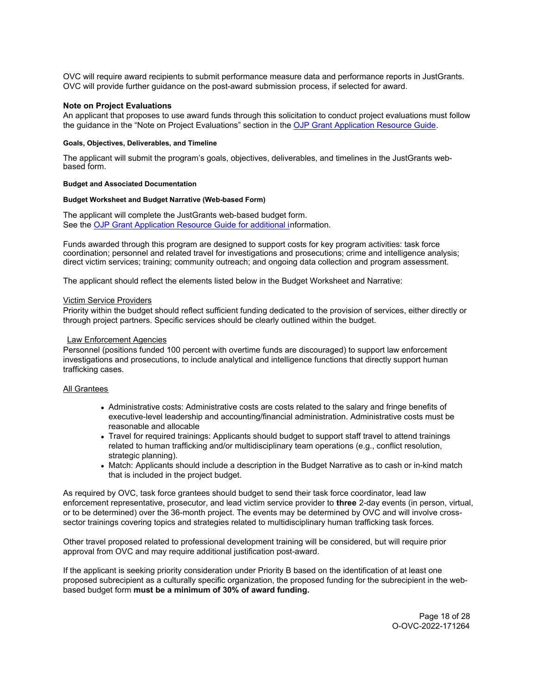<span id="page-17-0"></span>OVC will require award recipients to submit performance measure data and performance reports in JustGrants. OVC will provide further guidance on the post-award submission process, if selected for award.

# **Note on Project Evaluations**

An applicant that proposes to use award funds through this solicitation to conduct project evaluations must follow the guidance in the "Note on Project Evaluations" section in the [OJP Grant Application Resource Guide.](https://www.ojp.gov/funding/Apply/Resources/Grant-App-Resource-Guide.htm)

## **Goals, Objectives, Deliverables, and Timeline**

The applicant will submit the program's goals, objectives, deliverables, and timelines in the JustGrants webbased form.

## **Budget and Associated Documentation**

## **Budget Worksheet and Budget Narrative (Web-based Form)**

The applicant will complete the JustGrants web-based budget form. See the [OJP Grant Application Resource Guide](https://ojp.gov/funding/Apply/Resources/Grant-App-Resource-Guide.htm) for additional information.

Funds awarded through this program are designed to support costs for key program activities: task force coordination; personnel and related travel for investigations and prosecutions; crime and intelligence analysis; direct victim services; training; community outreach; and ongoing data collection and program assessment.

The applicant should reflect the elements listed below in the Budget Worksheet and Narrative:

#### Victim Service Providers

Priority within the budget should reflect sufficient funding dedicated to the provision of services, either directly or through project partners. Specific services should be clearly outlined within the budget.

#### Law Enforcement Agencies

Personnel (positions funded 100 percent with overtime funds are discouraged) to support law enforcement investigations and prosecutions, to include analytical and intelligence functions that directly support human trafficking cases.

## All Grantees

- Administrative costs: Administrative costs are costs related to the salary and fringe benefits of executive-level leadership and accounting/financial administration. Administrative costs must be reasonable and allocable
- Travel for required trainings: Applicants should budget to support staff travel to attend trainings related to human trafficking and/or multidisciplinary team operations (e.g., conflict resolution, strategic planning).
- Match: Applicants should include a description in the Budget Narrative as to cash or in-kind match that is included in the project budget.

As required by OVC, task force grantees should budget to send their task force coordinator, lead law enforcement representative, prosecutor, and lead victim service provider to **three** 2-day events (in person, virtual, or to be determined) over the 36-month project. The events may be determined by OVC and will involve crosssector trainings covering topics and strategies related to multidisciplinary human trafficking task forces.

Other travel proposed related to professional development training will be considered, but will require prior approval from OVC and may require additional justification post-award.

If the applicant is seeking priority consideration under Priority B based on the identification of at least one proposed subrecipient as a culturally specific organization, the proposed funding for the subrecipient in the webbased budget form **must be a minimum of 30% of award funding.** 

> Page 18 of 28 O-OVC-2022-171264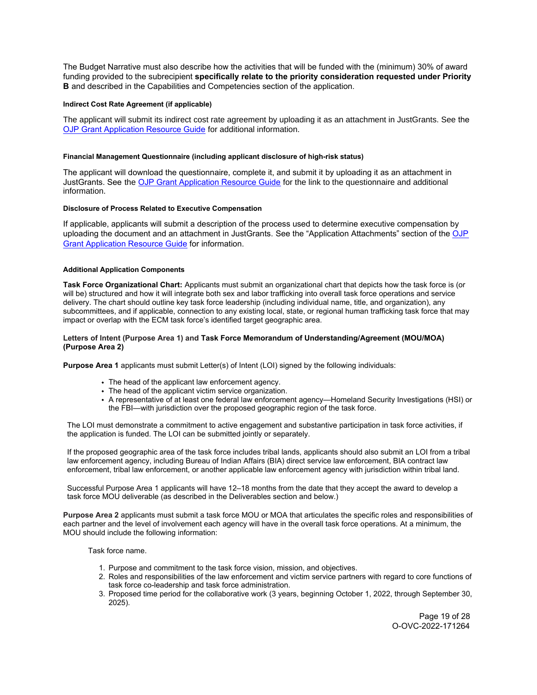<span id="page-18-0"></span>The Budget Narrative must also describe how the activities that will be funded with the (minimum) 30% of award funding provided to the subrecipient **specifically relate to the priority consideration requested under Priority B** and described in the Capabilities and Competencies section of the application.

## **Indirect Cost Rate Agreement (if applicable)**

The applicant will submit its indirect cost rate agreement by uploading it as an attachment in JustGrants. See the [OJP Grant Application Resource Guide](https://www.ojp.gov/funding/apply/ojp-grant-application-resource-guide#indirect-cost) for additional information.

## **Financial Management Questionnaire (including applicant disclosure of high-risk status)**

The applicant will download the questionnaire, complete it, and submit it by uploading it as an attachment in JustGrants. See the [OJP Grant Application Resource Guide](https://www.ojp.gov/funding/apply/ojp-grant-application-resource-guide#fm-internal-controls-questionnaire) for the link to the questionnaire and additional information.

## **Disclosure of Process Related to Executive Compensation**

If applicable, applicants will submit a description of the process used to determine executive compensation by uploading the document and an attachment in JustGrants. See the "Application Attachments" section of the [OJP](https://www.ojp.gov/funding/Apply/Resources/Grant-App-Resource-Guide.htm)  [Grant Application Resource Guide](https://www.ojp.gov/funding/Apply/Resources/Grant-App-Resource-Guide.htm) for information.

## **Additional Application Components**

**Task Force Organizational Chart:** Applicants must submit an organizational chart that depicts how the task force is (or will be) structured and how it will integrate both sex and labor trafficking into overall task force operations and service delivery. The chart should outline key task force leadership (including individual name, title, and organization), any subcommittees, and if applicable, connection to any existing local, state, or regional human trafficking task force that may impact or overlap with the ECM task force's identified target geographic area.

## **Letters of Intent (Purpose Area 1) and Task Force Memorandum of Understanding/Agreement (MOU/MOA) (Purpose Area 2)**

**Purpose Area 1** applicants must submit Letter(s) of Intent (LOI) signed by the following individuals:

- The head of the applicant law enforcement agency.
- The head of the applicant victim service organization.
- A representative of at least one federal law enforcement agency-Homeland Security Investigations (HSI) or the FBI—with jurisdiction over the proposed geographic region of the task force.

The LOI must demonstrate a commitment to active engagement and substantive participation in task force activities, if the application is funded. The LOI can be submitted jointly or separately.

If the proposed geographic area of the task force includes tribal lands, applicants should also submit an LOI from a tribal law enforcement agency, including Bureau of Indian Affairs (BIA) direct service law enforcement, BIA contract law enforcement, tribal law enforcement, or another applicable law enforcement agency with jurisdiction within tribal land.

Successful Purpose Area 1 applicants will have 12–18 months from the date that they accept the award to develop a task force MOU deliverable (as described in the Deliverables section and below.)

**Purpose Area 2** applicants must submit a task force MOU or MOA that articulates the specific roles and responsibilities of each partner and the level of involvement each agency will have in the overall task force operations. At a minimum, the MOU should include the following information:

Task force name.

- 1. Purpose and commitment to the task force vision, mission, and objectives.
- 2. Roles and responsibilities of the law enforcement and victim service partners with regard to core functions of task force co-leadership and task force administration.
- 3. Proposed time period for the collaborative work (3 years, beginning October 1, 2022, through September 30, 2025).

Page 19 of 28 O-OVC-2022-171264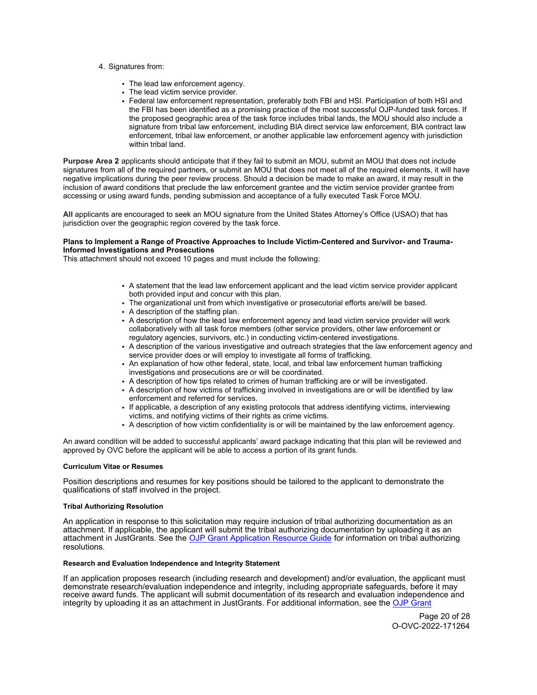- <span id="page-19-0"></span>4. Signatures from:
	- The lead law enforcement agency.
	- The lead victim service provider.
	- Federal law enforcement representation, preferably both FBI and HSI. Participation of both HSI and the FBI has been identified as a promising practice of the most successful OJP-funded task forces. If the proposed geographic area of the task force includes tribal lands, the MOU should also include a signature from tribal law enforcement, including BIA direct service law enforcement, BIA contract law enforcement, tribal law enforcement, or another applicable law enforcement agency with jurisdiction within tribal land.

**Purpose Area 2** applicants should anticipate that if they fail to submit an MOU, submit an MOU that does not include signatures from all of the required partners, or submit an MOU that does not meet all of the required elements, it will have negative implications during the peer review process. Should a decision be made to make an award, it may result in the inclusion of award conditions that preclude the law enforcement grantee and the victim service provider grantee from accessing or using award funds, pending submission and acceptance of a fully executed Task Force MOU.

**All** applicants are encouraged to seek an MOU signature from the United States Attorney's Office (USAO) that has jurisdiction over the geographic region covered by the task force.

## **Plans to Implement a Range of Proactive Approaches to Include Victim-Centered and Survivor- and Trauma-Informed Investigations and Prosecutions**

This attachment should not exceed 10 pages and must include the following:

- A statement that the lead law enforcement applicant and the lead victim service provider applicant both provided input and concur with this plan.
- The organizational unit from which investigative or prosecutorial efforts are/will be based.
- A description of the staffing plan.
- A description of how the lead law enforcement agency and lead victim service provider will work collaboratively with all task force members (other service providers, other law enforcement or regulatory agencies, survivors, etc.) in conducting victim-centered investigations.
- A description of the various investigative and outreach strategies that the law enforcement agency and service provider does or will employ to investigate all forms of trafficking.
- An explanation of how other federal, state, local, and tribal law enforcement human trafficking investigations and prosecutions are or will be coordinated.
- A description of how tips related to crimes of human trafficking are or will be investigated.
- A description of how victims of trafficking involved in investigations are or will be identified by law enforcement and referred for services.
- If applicable, a description of any existing protocols that address identifying victims, interviewing victims, and notifying victims of their rights as crime victims.
- A description of how victim confidentiality is or will be maintained by the law enforcement agency.

An award condition will be added to successful applicants' award package indicating that this plan will be reviewed and approved by OVC before the applicant will be able to access a portion of its grant funds.

## **Curriculum Vitae or Resumes**

Position descriptions and resumes for key positions should be tailored to the applicant to demonstrate the qualifications of staff involved in the project.

#### **Tribal Authorizing Resolution**

An application in response to this solicitation may require inclusion of tribal authorizing documentation as an attachment. If applicable, the applicant will submit the tribal authorizing documentation by uploading it as an attachment in JustGrants. See the [OJP Grant Application Resource Guide](https://www.ojp.gov/funding/apply/ojp-grant-application-resource-guide) for information on tribal authorizing resolutions.

## **Research and Evaluation Independence and Integrity Statement**

If an application proposes research (including research and development) and/or evaluation, the applicant must demonstrate research/evaluation independence and integrity, including appropriate safeguards, before it may receive award funds. The applicant will submit documentation of its research and evaluation independence and integrity by uploading it as an attachment in JustGrants. For additional information, see the OJP Grant

> Page 20 of 28 O-OVC-2022-171264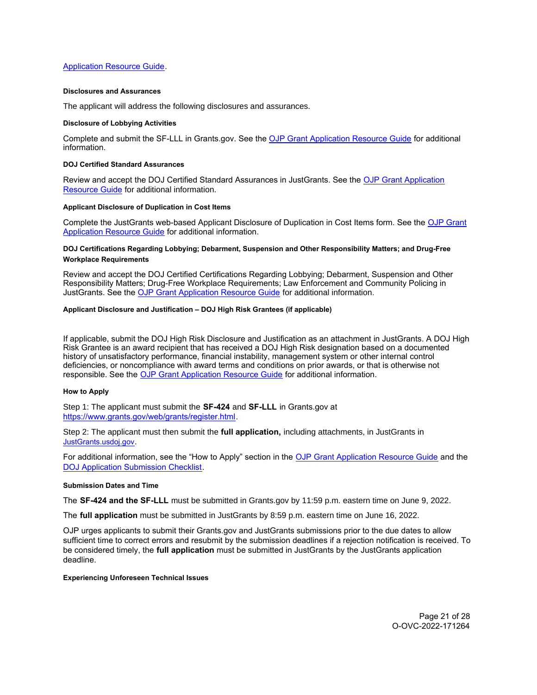## <span id="page-20-0"></span>[Application Resource Guide.](https://www.ojp.gov/funding/apply/ojp-grant-application-resource-guide#research-evaluation)

#### **Disclosures and Assurances**

The applicant will address the following disclosures and assurances.

#### **Disclosure of Lobbying Activities**

Complete and submit the SF-LLL in [Grants.gov.](https://Grants.gov) See the [OJP Grant Application Resource Guide](https://www.ojp.gov/funding/apply/ojp-grant-application-resource-guide#disclosure-lobby) for additional information.

## **DOJ Certified Standard Assurances**

Review and accept the DOJ Certified Standard Assurances in JustGrants. See the [OJP Grant Application](https://www.ojp.gov/funding/apply/ojp-grant-application-resource-guide#administrative)  [Resource Guide](https://www.ojp.gov/funding/apply/ojp-grant-application-resource-guide#administrative) for additional information.

## **Applicant Disclosure of Duplication in Cost Items**

Complete the JustGrants web-based Applicant Disclosure of Duplication in Cost Items form. See the [OJP Grant](https://www.ojp.gov/funding/apply/ojp-grant-application-resource-guide#applicant-disclosure-pending-applications)  [Application Resource Guide](https://www.ojp.gov/funding/apply/ojp-grant-application-resource-guide#applicant-disclosure-pending-applications) for additional information.

## **DOJ Certifications Regarding Lobbying; Debarment, Suspension and Other Responsibility Matters; and Drug-Free Workplace Requirements**

Review and accept the DOJ Certified Certifications Regarding Lobbying; Debarment, Suspension and Other Responsibility Matters; Drug-Free Workplace Requirements; Law Enforcement and Community Policing in JustGrants. See the [OJP Grant Application Resource Guide](https://www.ojp.gov/funding/apply/ojp-grant-application-resource-guide#administrative) for additional information.

#### **Applicant Disclosure and Justification – DOJ High Risk Grantees (if applicable)**

If applicable, submit the DOJ High Risk Disclosure and Justification as an attachment in JustGrants. A DOJ High Risk Grantee is an award recipient that has received a DOJ High Risk designation based on a documented history of unsatisfactory performance, financial instability, management system or other internal control deficiencies, or noncompliance with award terms and conditions on prior awards, or that is otherwise not responsible. See the [OJP Grant Application Resource Guide](https://www.ojp.gov/funding/apply/ojp-grant-application-resource-guide) for additional information.

## **How to Apply**

Step 1: The applicant must submit the **SF-424** and **SF-LLL** in [Grants.gov](https://Grants.gov) at [https://www.grants.gov/web/grants/register.html.](https://www.grants.gov/web/grants/register.html)

Step 2: The applicant must then submit the **full application,** including attachments, in JustGrants in [JustGrants.usdoj.gov.](https://justicegrants.usdoj.gov/)

For additional information, see the "How to Apply" section in the [OJP Grant Application Resource Guide](https://www.ojp.gov/funding/apply/ojp-grant-application-resource-guide#apply) and the [DOJ Application Submission Checklist.](https://justicegrants.usdoj.gov/sites/g/files/xyckuh296/files/media/document/appln-submission-checklist.pdf)

#### **Submission Dates and Time**

The **SF-424 and the SF-LLL** must be submitted in [Grants.gov](https://Grants.gov) by 11:59 p.m. eastern time on June 9, 2022.

The **full application** must be submitted in JustGrants by 8:59 p.m. eastern time on June 16, 2022.

OJP urges applicants to submit their [Grants.gov](https://Grants.gov) and JustGrants submissions prior to the due dates to allow sufficient time to correct errors and resubmit by the submission deadlines if a rejection notification is received. To be considered timely, the **full application** must be submitted in JustGrants by the JustGrants application deadline.

#### **Experiencing Unforeseen Technical Issues**

Page 21 of 28 O-OVC-2022-171264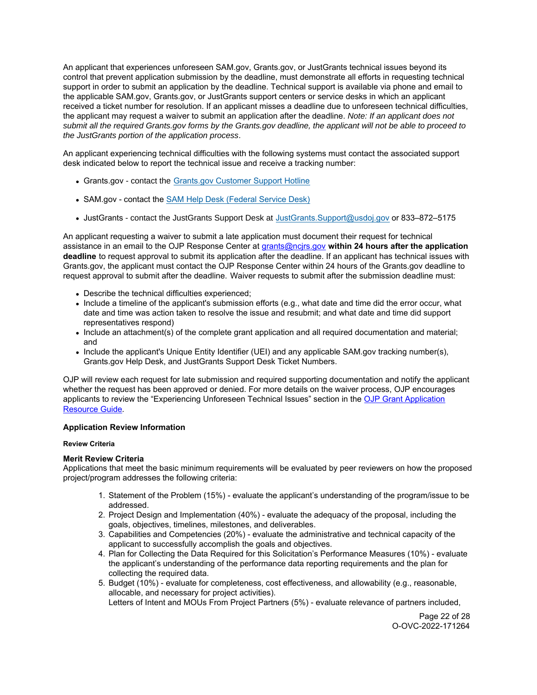<span id="page-21-0"></span>An applicant that experiences unforeseen SAM.gov, [Grants.gov,](https://Grants.gov) or JustGrants technical issues beyond its control that prevent application submission by the deadline, must demonstrate all efforts in requesting technical support in order to submit an application by the deadline. Technical support is available via phone and email to the applicable SAM.gov, [Grants.gov,](https://Grants.gov) or JustGrants support centers or service desks in which an applicant received a ticket number for resolution. If an applicant misses a deadline due to unforeseen technical difficulties, the applicant may request a waiver to submit an application after the deadline. Note: If an applicant does not submit all the required [Grants.gov](https://Grants.gov) forms by the [Grants.gov](https://Grants.gov) deadline, the applicant will not be able to proceed to the JustGrants portion of the application process.

An applicant experiencing technical difficulties with the following systems must contact the associated support desk indicated below to report the technical issue and receive a tracking number:

- [Grants.gov](https://Grants.gov) contact the [Grants.gov Customer Support Hotline](https://www.grants.gov/web/grants/support.html)
- SAM.gov contact the [SAM Help Desk \(Federal Service Desk\)](https://www.fsd.gov/gsafsd_sp)
- JustGrants contact the JustGrants Support Desk at [JustGrants.Support@usdoj.gov](mailto:JustGrants.Support@usdoj.gov) or 833–872–5175

An applicant requesting a waiver to submit a late application must document their request for technical assistance in an email to the OJP Response Center at [grants@ncjrs.gov](file:///C:/Users/local_Yehj/INetCache/Content.Outlook/20U4XBR7/grants@ncjrs.gov) **within 24 hours after the application deadline** to request approval to submit its application after the deadline. If an applicant has technical issues with [Grants.gov,](https://Grants.gov) the applicant must contact the OJP Response Center within 24 hours of the [Grants.gov](https://Grants.gov) deadline to request approval to submit after the deadline. Waiver requests to submit after the submission deadline must:

- Describe the technical difficulties experienced;
- Include a timeline of the applicant's submission efforts (e.g., what date and time did the error occur, what date and time was action taken to resolve the issue and resubmit; and what date and time did support representatives respond)
- Include an attachment(s) of the complete grant application and all required documentation and material; and
- Include the applicant's Unique Entity Identifier (UEI) and any applicable SAM.gov tracking number(s), [Grants.gov](https://Grants.gov) Help Desk, and JustGrants Support Desk Ticket Numbers.

OJP will review each request for late submission and required supporting documentation and notify the applicant whether the request has been approved or denied. For more details on the waiver process, OJP encourages applicants to review the "Experiencing Unforeseen Technical Issues" section in the [OJP Grant Application](https://www.ojp.gov/funding/apply/ojp-grant-application-resource-guide#experiencing-unforeseen-technical-issues)  [Resource Guide](https://www.ojp.gov/funding/apply/ojp-grant-application-resource-guide#experiencing-unforeseen-technical-issues).

# **Application Review Information**

# **Review Criteria**

# **Merit Review Criteria**

Applications that meet the basic minimum requirements will be evaluated by peer reviewers on how the proposed project/program addresses the following criteria:

- 1. Statement of the Problem (15%) evaluate the applicant's understanding of the program/issue to be addressed.
- 2. Project Design and Implementation (40%) evaluate the adequacy of the proposal, including the goals, objectives, timelines, milestones, and deliverables.
- 3. Capabilities and Competencies (20%) evaluate the administrative and technical capacity of the applicant to successfully accomplish the goals and objectives.
- 4. Plan for Collecting the Data Required for this Solicitation's Performance Measures (10%) evaluate the applicant's understanding of the performance data reporting requirements and the plan for collecting the required data.
- 5. Budget (10%) evaluate for completeness, cost effectiveness, and allowability (e.g., reasonable, allocable, and necessary for project activities). Letters of Intent and MOUs From Project Partners (5%) - evaluate relevance of partners included,

Page 22 of 28 O-OVC-2022-171264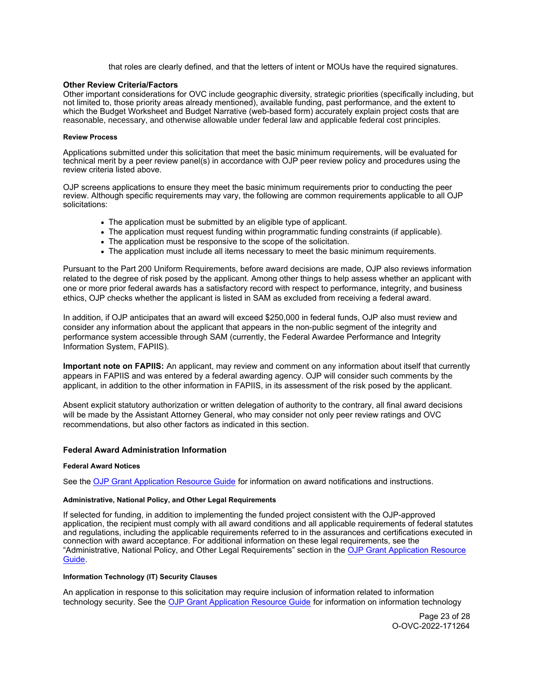that roles are clearly defined, and that the letters of intent or MOUs have the required signatures.

## <span id="page-22-0"></span>**Other Review Criteria/Factors**

Other important considerations for OVC include geographic diversity, strategic priorities (specifically including, but not limited to, those priority areas already mentioned), available funding, past performance, and the extent to which the Budget Worksheet and Budget Narrative (web-based form) accurately explain project costs that are reasonable, necessary, and otherwise allowable under federal law and applicable federal cost principles.

## **Review Process**

Applications submitted under this solicitation that meet the basic minimum requirements, will be evaluated for technical merit by a peer review panel(s) in accordance with OJP peer review policy and procedures using the review criteria listed above.

OJP screens applications to ensure they meet the basic minimum requirements prior to conducting the peer review. Although specific requirements may vary, the following are common requirements applicable to all OJP solicitations:

- The application must be submitted by an eligible type of applicant.
- The application must request funding within programmatic funding constraints (if applicable).
- The application must be responsive to the scope of the solicitation.
- The application must include all items necessary to meet the basic minimum requirements.

Pursuant to the Part 200 Uniform Requirements, before award decisions are made, OJP also reviews information related to the degree of risk posed by the applicant. Among other things to help assess whether an applicant with one or more prior federal awards has a satisfactory record with respect to performance, integrity, and business ethics, OJP checks whether the applicant is listed in SAM as excluded from receiving a federal award.

In addition, if OJP anticipates that an award will exceed \$250,000 in federal funds, OJP also must review and consider any information about the applicant that appears in the non-public segment of the integrity and performance system accessible through SAM (currently, the Federal Awardee Performance and Integrity Information System, FAPIIS).

**Important note on FAPIIS:** An applicant, may review and comment on any information about itself that currently appears in FAPIIS and was entered by a federal awarding agency. OJP will consider such comments by the applicant, in addition to the other information in FAPIIS, in its assessment of the risk posed by the applicant.

Absent explicit statutory authorization or written delegation of authority to the contrary, all final award decisions will be made by the Assistant Attorney General, who may consider not only peer review ratings and OVC recommendations, but also other factors as indicated in this section.

# **Federal Award Administration Information**

## **Federal Award Notices**

See the [OJP Grant Application Resource Guide](https://www.ojp.gov/funding/apply/ojp-grant-application-resource-guide#federal-award-notices) for information on award notifications and instructions.

## **Administrative, National Policy, and Other Legal Requirements**

If selected for funding, in addition to implementing the funded project consistent with the OJP-approved application, the recipient must comply with all award conditions and all applicable requirements of federal statutes and regulations, including the applicable requirements referred to in the assurances and certifications executed in connection with award acceptance. For additional information on these legal requirements, see the "Administrative, National Policy, and Other Legal Requirements" section in the [OJP Grant Application Resource](https://www.ojp.gov/funding/apply/ojp-grant-application-resource-guide#administrative)  [Guide.](https://www.ojp.gov/funding/apply/ojp-grant-application-resource-guide#administrative)

## **Information Technology (IT) Security Clauses**

An application in response to this solicitation may require inclusion of information related to information technology security. See the [OJP Grant Application Resource Guide](https://www.ojp.gov/funding/apply/ojp-grant-application-resource-guide#information-technology) for information on information technology

> Page 23 of 28 O-OVC-2022-171264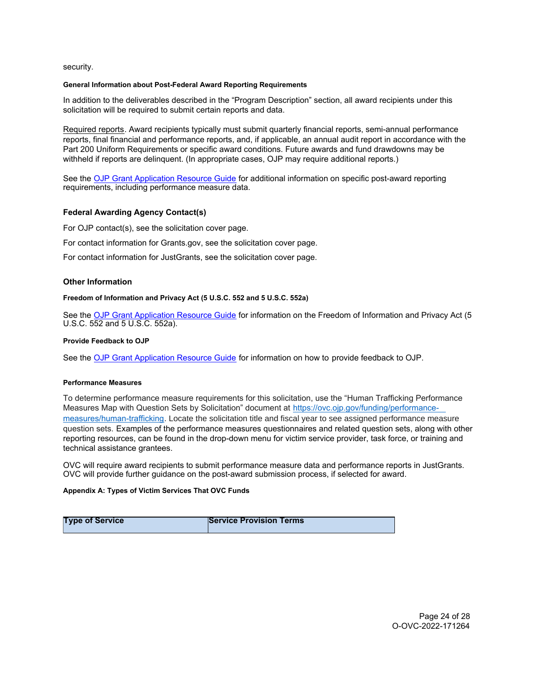<span id="page-23-0"></span>security.

## **General Information about Post-Federal Award Reporting Requirements**

In addition to the deliverables described in the "Program Description" section, all award recipients under this solicitation will be required to submit certain reports and data.

Required reports. Award recipients typically must submit quarterly financial reports, semi-annual performance reports, final financial and performance reports, and, if applicable, an annual audit report in accordance with the Part 200 Uniform Requirements or specific award conditions. Future awards and fund drawdowns may be withheld if reports are delinquent. (In appropriate cases, OJP may require additional reports.)

See the [OJP Grant Application Resource Guide](https://www.ojp.gov/funding/Apply/Resources/Grant-App-Resource-Guide.htm) for additional information on specific post-award reporting requirements, including performance measure data.

# **Federal Awarding Agency Contact(s)**

For OJP contact(s), see the solicitation cover page.

For contact information for [Grants.gov](https://Grants.gov), see the solicitation cover page.

For contact information for JustGrants, see the solicitation cover page.

# **Other Information**

## **Freedom of Information and Privacy Act (5 U.S.C. 552 and 5 U.S.C. 552a)**

See the [OJP Grant Application Resource Guide](https://www.ojp.gov/funding/apply/ojp-grant-application-resource-guide#foia) for information on the Freedom of Information and Privacy Act (5 U.S.C. 552 and 5 U.S.C. 552a).

## **Provide Feedback to OJP**

See the [OJP Grant Application Resource Guide](https://www.ojp.gov/funding/apply/ojp-grant-application-resource-guide#feedback) for information on how to provide feedback to OJP.

## **Performance Measures**

To determine performance measure requirements for this solicitation, use the "Human Trafficking Performance Measures Map with Question Sets by Solicitation" document at [https://ovc.ojp.gov/funding/performance](https://ovc.ojp.gov/funding/performance-measures/human-trafficking)[measures/human-trafficking](https://ovc.ojp.gov/funding/performance-measures/human-trafficking). Locate the solicitation title and fiscal year to see assigned performance measure question sets. Examples of the performance measures questionnaires and related question sets, along with other reporting resources, can be found in the drop-down menu for victim service provider, task force, or training and technical assistance grantees.

OVC will require award recipients to submit performance measure data and performance reports in JustGrants. OVC will provide further guidance on the post-award submission process, if selected for award.

# **Appendix A: Types of Victim Services That OVC Funds**

**Type of Service Service Service Provision Terms** 

Page 24 of 28 O-OVC-2022-171264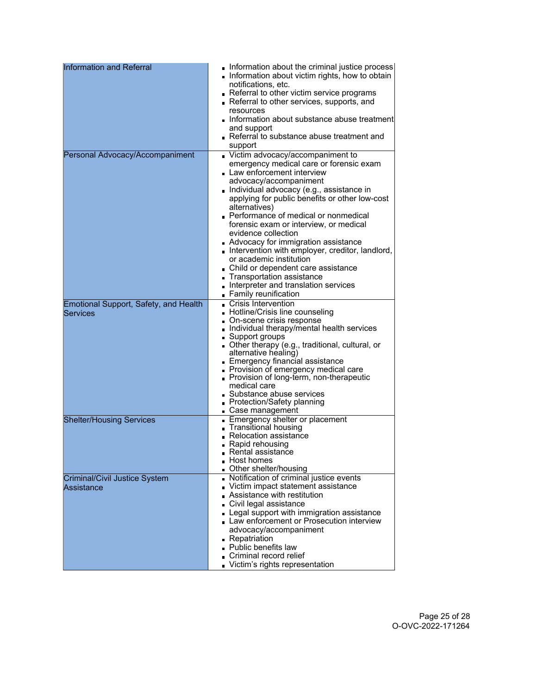| <b>Information and Referral</b>                          | Information about the criminal justice process<br>Information about victim rights, how to obtain<br>notifications, etc.<br>Referral to other victim service programs<br>Referral to other services, supports, and<br>resources<br>limformation about substance abuse treatment<br>and support<br>Referral to substance abuse treatment and<br>support                                                                                                                                                                                                                                      |
|----------------------------------------------------------|--------------------------------------------------------------------------------------------------------------------------------------------------------------------------------------------------------------------------------------------------------------------------------------------------------------------------------------------------------------------------------------------------------------------------------------------------------------------------------------------------------------------------------------------------------------------------------------------|
| Personal Advocacy/Accompaniment                          | Victim advocacy/accompaniment to<br>emergency medical care or forensic exam<br>Law enforcement interview<br>advocacy/accompaniment<br>Individual advocacy (e.g., assistance in<br>applying for public benefits or other low-cost<br>alternatives)<br>Performance of medical or nonmedical<br>forensic exam or interview, or medical<br>evidence collection<br>Advocacy for immigration assistance<br>Intervention with employer, creditor, landlord,<br>or academic institution<br>Child or dependent care assistance<br>Transportation assistance<br>Interpreter and translation services |
| <b>Emotional Support, Safety, and Health</b><br>Services | Family reunification<br>$\blacksquare$ Crisis Intervention<br>Hotline/Crisis line counseling<br>■ On-scene crisis response<br>Individual therapy/mental health services<br>■ Support groups<br>Other therapy (e.g., traditional, cultural, or<br>alternative healing)<br>Emergency financial assistance<br>Provision of emergency medical care<br>Provision of long-term, non-therapeutic<br>medical care<br>■ Substance abuse services<br>Protection/Safety planning<br>$\blacksquare$ Case management                                                                                    |
| <b>Shelter/Housing Services</b>                          | Emergency shelter or placement<br>$\blacksquare$ Transitional housing<br>■ Relocation assistance<br>Rapid rehousing<br>Rental assistance<br>Host homes<br>Other shelter/housing                                                                                                                                                                                                                                                                                                                                                                                                            |
| Criminal/Civil Justice System<br>Assistance              | Notification of criminal justice events<br>Victim impact statement assistance<br>Assistance with restitution<br>Civil legal assistance<br>Legal support with immigration assistance<br>Law enforcement or Prosecution interview<br>advocacy/accompaniment<br><b>Repatriation</b><br>Public benefits law<br>Criminal record relief<br>Victim's rights representation                                                                                                                                                                                                                        |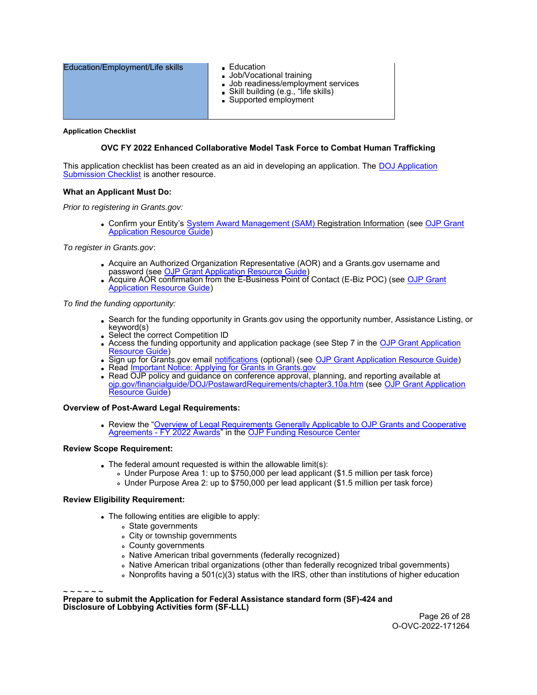<span id="page-25-0"></span>

| Job/Vocational training<br>Job readiness/employment services<br>Skill building (e.g., "life skills)<br>Supported employment |
|-----------------------------------------------------------------------------------------------------------------------------|
|                                                                                                                             |

## **Application Checklist**

# **OVC FY 2022 Enhanced Collaborative Model Task Force to Combat Human Trafficking**

This application checklist has been created as an aid in developing an application. The [DOJ Application](https://justicegrants.usdoj.gov/sites/g/files/xyckuh296/files/media/document/appln-submission-checklist.pdf)  [Submission Checklist](https://justicegrants.usdoj.gov/sites/g/files/xyckuh296/files/media/document/appln-submission-checklist.pdf) is another resource.

# **What an Applicant Must Do:**

Prior to registering in [Grants.gov](https://Grants.gov):

Confirm your Entity's [System Award Management \(SAM\)](https://sam.gov/SAM/) Registration Information (see [OJP Grant](https://www.ojp.gov/funding/apply/ojp-grant-application-resource-guide#apply)  [Application Resource Guide\)](https://www.ojp.gov/funding/apply/ojp-grant-application-resource-guide#apply)

To register in [Grants.gov](https://Grants.gov):

- Acquire an Authorized Organization Representative (AOR) and a [Grants.gov](https://Grants.gov) username and password (see OJP Grant Application Resource Guide
- Acquire AOR confirmation from the E-Business Point of Contact (E-Biz POC) (see OJP Grant [Application Resource Guide\)](https://ojp.gov/funding/Apply/Resources/Grant-App-Resource-Guide.htm)

To find the funding opportunity:

- Search for the funding opportunity in [Grants.gov](https://Grants.gov) using the opportunity number, Assistance Listing, or Select the correct Competition ID<br>Select the correct Competition ID
- 
- Access the funding opportunity and application package (see Step 7 in the OJP Grant Application [Resource Guide\)](https://ojp.gov/funding/Apply/Resources/Grant-App-Resource-Guide.htm)
- Sign up for [Grants.gov](https://Grants.gov) email <u>notifications</u> (optional) (see <u>OJP Grant Application Resource Guide</u>)
- Read [Important Notice: Applying for Grants in Grants.gov](https://ojp.gov/funding/Apply/Grants-govInfo.htm)
- Read OJP policy and guidance on conference approval, planning, and reporting available at [ojp.gov/financialguide/DOJ/PostawardRequirements/chapter3.10a.htm](https://ojp.gov/financialguide/DOJ/PostawardRequirements/chapter3.10a.htm) (see [OJP Grant Application](https://ojp.gov/funding/Apply/Resources/Grant-App-Resource-Guide.htm)  [Resource Guide\)](https://ojp.gov/funding/Apply/Resources/Grant-App-Resource-Guide.htm)

# **Overview of Post-Award Legal Requirements:**

Review the "[Overview of Legal Requirements Generally Applicable to OJP Grants and Cooperative](https://www.ojp.gov/funding/explore/legal-overview-fy-2022-awards)  [Agreements - FY 2022 Awards"](https://www.ojp.gov/funding/explore/legal-overview-fy-2022-awards) in the [OJP Funding Resource Center](https://www.ojp.gov/funding/index.htm) 

# **Review Scope Requirement:**

- The federal amount requested is within the allowable limit(s):
	- Under Purpose Area 1: up to \$750,000 per lead applicant (\$1.5 million per task force)
	- Under Purpose Area 2: up to \$750,000 per lead applicant (\$1.5 million per task force)

# **Review Eligibility Requirement:**

- The following entities are eligible to apply:
	- State governments
	- City or township governments
	- County governments
	- Native American tribal governments (federally recognized)
	- Native American tribal organizations (other than federally recognized tribal governments)
	- Nonprofits having a 501(c)(3) status with the IRS, other than institutions of higher education

 $\sim$   $\sim$   $\sim$   $\sim$   $\sim$ 

**Prepare to submit the Application for Federal Assistance standard form (SF)-424 and Disclosure of Lobbying Activities form (SF-LLL)** 

Page 26 of 28 O-OVC-2022-171264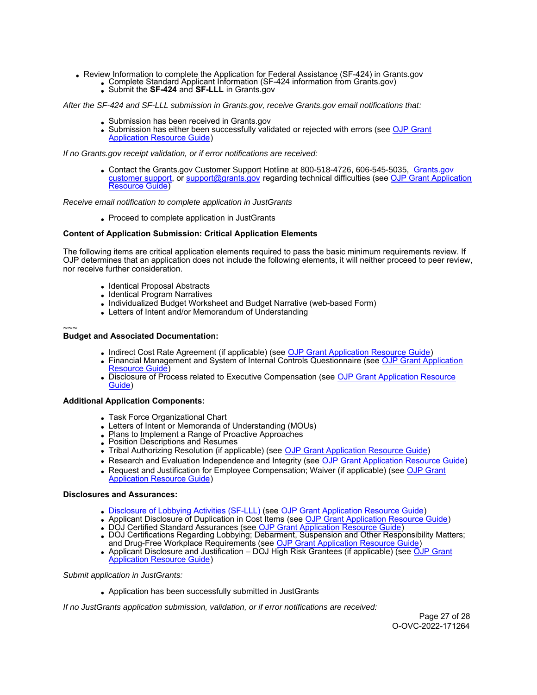- Review Information to complete the Application for Federal Assistance (SF-424) in [Grants.gov](https://Grants.gov)<br>• Complete Standard Applicant Information (SF-424 information from [Grants.gov\)](https://Grants.gov)<br>• Submit the SF-424 and SF-LLL in Grants.gov
	-
	-

After the SF-424 and SF-LLL submission in [Grants.gov](https://Grants.gov), receive [Grants.gov](https://Grants.gov) email notifications that:

- Submission has been received in [Grants.gov](https://Grants.gov)
- Submission has either been successfully validated or rejected with errors (see [OJP Grant](https://ojp.gov/funding/Apply/Resources/Grant-App-Resource-Guide.htm)  [Application Resource Guide\)](https://ojp.gov/funding/Apply/Resources/Grant-App-Resource-Guide.htm)

If no [Grants.gov](https://Grants.gov) receipt validation, or if error notifications are received:

Contact the [Grants.gov](https://Grants.gov) Customer Support Hotline at 800-518-4726, 606-545-5035, [Grants.gov](https://www.grants.gov/web/grants/support.html)  [customer support,](https://www.grants.gov/web/grants/support.html) or [support@grants.gov](mailto:support@grants.gov) regarding technical difficulties (see [OJP Grant Application](https://ojp.gov/funding/Apply/Resources/Grant-App-Resource-Guide.htm)  [Resource Guide\)](https://ojp.gov/funding/Apply/Resources/Grant-App-Resource-Guide.htm)

Receive email notification to complete application in JustGrants

Proceed to complete application in JustGrants

# **Content of Application Submission: Critical Application Elements**

The following items are critical application elements required to pass the basic minimum requirements review. If OJP determines that an application does not include the following elements, it will neither proceed to peer review, nor receive further consideration.

- Identical Proposal Abstracts
- Identical Program Narratives
- Individualized Budget Worksheet and Budget Narrative (web-based Form)
- Letters of Intent and/or Memorandum of Understanding

#### ~~~<br>Budget and Associated Documentation: **Budget and Associated Documentation:**

- Indirect Cost Rate Agreement (if applicable) (see [OJP Grant Application Resource Guide\)](https://ojp.gov/funding/Apply/Resources/Grant-App-Resource-Guide.htm)
- Financial Management and System of Internal Controls Questionnaire (see OJP Grant Application [Resource Guide\)](https://ojp.gov/funding/Apply/Resources/Grant-App-Resource-Guide.htm)
- Disclosure of Process related to Executive Compensation (see [OJP Grant Application Resource](https://ojp.gov/funding/Apply/Resources/Grant-App-Resource-Guide.htm)  [Guide\)](https://ojp.gov/funding/Apply/Resources/Grant-App-Resource-Guide.htm)

# **Additional Application Components:**

- Task Force Organizational Chart
- Letters of Intent or Memoranda of Understanding (MOUs)
- Plans to Implement a Range of Proactive Approaches
- Position Descriptions and Resumes
- Tribal Authorizing Resolution (if applicable) (see [OJP Grant Application Resource Guide\)](https://www.ojp.gov/funding/Apply/Resources/Grant-App-Resource-Guide.htm#researchAndEvaluation)
- Research and Evaluation Independence and Integrity (see [OJP Grant Application Resource Guide\)](https://ojp.gov/funding/Apply/Resources/Grant-App-Resource-Guide.htm)
- Request and Justification for Employee Compensation: Waiver (if applicable) (see OJP Grant [Application Resource Guide\)](https://ojp.gov/funding/Apply/Resources/Grant-App-Resource-Guide.htm)

# **Disclosures and Assurances:**

- Disclosure [of Lobbying Activities \(SF-LLL\)](https://ojp.gov/funding/Apply/Resources/Disclosure.pdf) (see [OJP Grant Application Resource Guide\)](https://ojp.gov/funding/Apply/Resources/Grant-App-Resource-Guide.htm)
- Applicant Disclosure of Duplication in Cost Items (see <u>OJP Grant Application Resource Guide</u>)
- 
- DOJ Certified Standard Assurances (see <u>OJP Grant Application Resource Guide</u>)<br>DOJ Certifications Regarding Lobbying; Debarment, Suspension and Other Responsibility Matters; and Drug-Free Workplace Requirements (see <u>OJP Grant Application Resource Guide</u>)
- Applicant Disclosure and Justification DOJ High Risk Grantees (if applicable) (see OJP Grant [Application Resource Guide\)](https://ojp.gov/funding/Apply/Resources/Grant-App-Resource-Guide.htm)

Submit application in JustGrants:

Application has been successfully submitted in JustGrants

If no JustGrants application submission, validation, or if error notifications are received:

Page 27 of 28 O-OVC-2022-171264